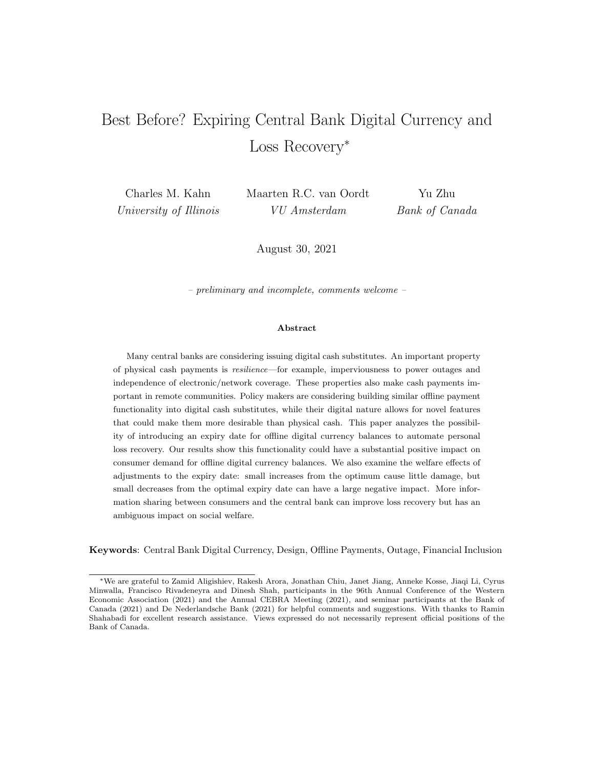# Best Before? Expiring Central Bank Digital Currency and Loss Recovery<sup>∗</sup>

Charles M. Kahn University of Illinois Maarten R.C. van Oordt VU Amsterdam

Yu Zhu Bank of Canada

August 30, 2021

– preliminary and incomplete, comments welcome –

#### Abstract

Many central banks are considering issuing digital cash substitutes. An important property of physical cash payments is resilience—for example, imperviousness to power outages and independence of electronic/network coverage. These properties also make cash payments important in remote communities. Policy makers are considering building similar offline payment functionality into digital cash substitutes, while their digital nature allows for novel features that could make them more desirable than physical cash. This paper analyzes the possibility of introducing an expiry date for offline digital currency balances to automate personal loss recovery. Our results show this functionality could have a substantial positive impact on consumer demand for offline digital currency balances. We also examine the welfare effects of adjustments to the expiry date: small increases from the optimum cause little damage, but small decreases from the optimal expiry date can have a large negative impact. More information sharing between consumers and the central bank can improve loss recovery but has an ambiguous impact on social welfare.

Keywords: Central Bank Digital Currency, Design, Offline Payments, Outage, Financial Inclusion

<sup>∗</sup>We are grateful to Zamid Aligishiev, Rakesh Arora, Jonathan Chiu, Janet Jiang, Anneke Kosse, Jiaqi Li, Cyrus Minwalla, Francisco Rivadeneyra and Dinesh Shah, participants in the 96th Annual Conference of the Western Economic Association (2021) and the Annual CEBRA Meeting (2021), and seminar participants at the Bank of Canada (2021) and De Nederlandsche Bank (2021) for helpful comments and suggestions. With thanks to Ramin Shahabadi for excellent research assistance. Views expressed do not necessarily represent official positions of the Bank of Canada.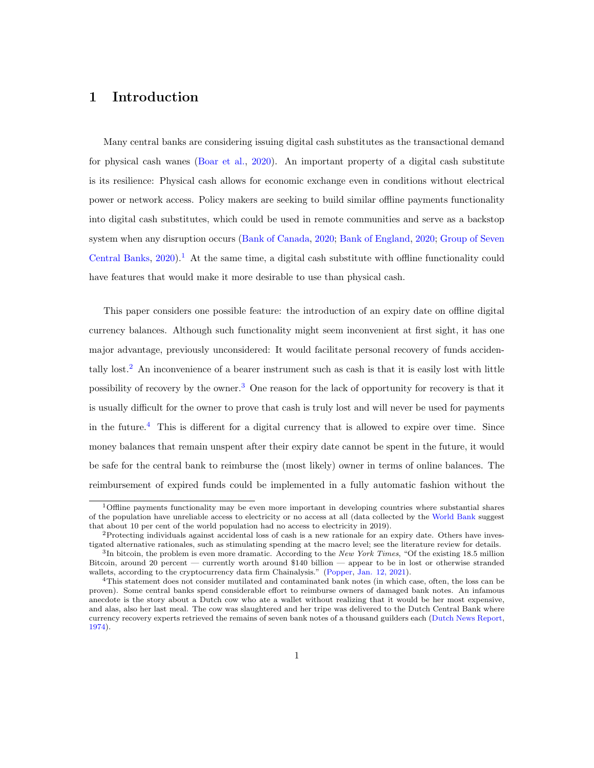# 1 Introduction

Many central banks are considering issuing digital cash substitutes as the transactional demand for physical cash wanes [\(Boar et al.,](#page-31-0) [2020\)](#page-31-0). An important property of a digital cash substitute is its resilience: Physical cash allows for economic exchange even in conditions without electrical power or network access. Policy makers are seeking to build similar offline payments functionality into digital cash substitutes, which could be used in remote communities and serve as a backstop system when any disruption occurs [\(Bank of Canada,](#page-30-0) [2020;](#page-30-0) [Bank of England,](#page-30-1) [2020;](#page-30-1) [Group of Seven](#page-31-1) [Central Banks,](#page-31-1)  $2020$ .<sup>[1](#page-1-0)</sup> At the same time, a digital cash substitute with offline functionality could have features that would make it more desirable to use than physical cash.

This paper considers one possible feature: the introduction of an expiry date on offline digital currency balances. Although such functionality might seem inconvenient at first sight, it has one major advantage, previously unconsidered: It would facilitate personal recovery of funds accidentally lost.[2](#page-1-1) An inconvenience of a bearer instrument such as cash is that it is easily lost with little possibility of recovery by the owner.[3](#page-1-2) One reason for the lack of opportunity for recovery is that it is usually difficult for the owner to prove that cash is truly lost and will never be used for payments in the future.[4](#page-1-3) This is different for a digital currency that is allowed to expire over time. Since money balances that remain unspent after their expiry date cannot be spent in the future, it would be safe for the central bank to reimburse the (most likely) owner in terms of online balances. The reimbursement of expired funds could be implemented in a fully automatic fashion without the

<span id="page-1-0"></span><sup>1</sup>Offline payments functionality may be even more important in developing countries where substantial shares of the population have unreliable access to electricity or no access at all (data collected by the [World Bank](#page-34-0) suggest that about 10 per cent of the world population had no access to electricity in 2019).

<span id="page-1-1"></span><sup>&</sup>lt;sup>2</sup>Protecting individuals against accidental loss of cash is a new rationale for an expiry date. Others have investigated alternative rationales, such as stimulating spending at the macro level; see the literature review for details. <sup>3</sup>In bitcoin, the problem is even more dramatic. According to the New York Times, "Of the existing 18.5 million

<span id="page-1-2"></span>Bitcoin, around 20 percent — currently worth around \$140 billion — appear to be in lost or otherwise stranded wallets, according to the cryptocurrency data firm Chainalysis." [\(Popper,](#page-33-0) [Jan. 12, 2021\)](#page-33-0).

<span id="page-1-3"></span><sup>4</sup>This statement does not consider mutilated and contaminated bank notes (in which case, often, the loss can be proven). Some central banks spend considerable effort to reimburse owners of damaged bank notes. An infamous anecdote is the story about a Dutch cow who ate a wallet without realizing that it would be her most expensive, and alas, also her last meal. The cow was slaughtered and her tripe was delivered to the Dutch Central Bank where currency recovery experts retrieved the remains of seven bank notes of a thousand guilders each [\(Dutch News Report,](#page-31-2) [1974\)](#page-31-2).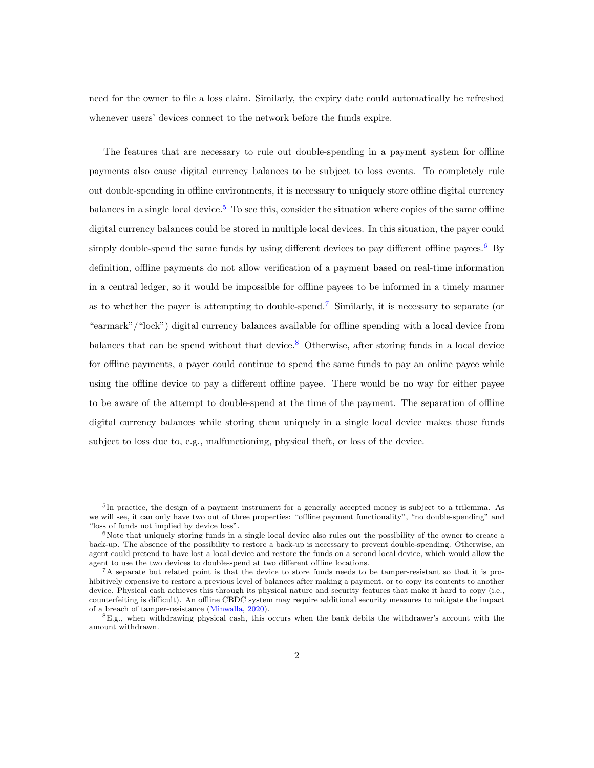need for the owner to file a loss claim. Similarly, the expiry date could automatically be refreshed whenever users' devices connect to the network before the funds expire.

The features that are necessary to rule out double-spending in a payment system for offline payments also cause digital currency balances to be subject to loss events. To completely rule out double-spending in offline environments, it is necessary to uniquely store offline digital currency balances in a single local device.<sup>[5](#page-2-0)</sup> To see this, consider the situation where copies of the same offline digital currency balances could be stored in multiple local devices. In this situation, the payer could simply double-spend the same funds by using different devices to pay different offline payees.<sup>[6](#page-2-1)</sup> By definition, offline payments do not allow verification of a payment based on real-time information in a central ledger, so it would be impossible for offline payees to be informed in a timely manner as to whether the payer is attempting to double-spend.[7](#page-2-2) Similarly, it is necessary to separate (or "earmark"/"lock") digital currency balances available for offline spending with a local device from balances that can be spend without that device.<sup>[8](#page-2-3)</sup> Otherwise, after storing funds in a local device for offline payments, a payer could continue to spend the same funds to pay an online payee while using the offline device to pay a different offline payee. There would be no way for either payee to be aware of the attempt to double-spend at the time of the payment. The separation of offline digital currency balances while storing them uniquely in a single local device makes those funds subject to loss due to, e.g., malfunctioning, physical theft, or loss of the device.

<span id="page-2-0"></span><sup>&</sup>lt;sup>5</sup>In practice, the design of a payment instrument for a generally accepted money is subject to a trilemma. As we will see, it can only have two out of three properties: "offline payment functionality", "no double-spending" and "loss of funds not implied by device loss".

<span id="page-2-1"></span> $6$ Note that uniquely storing funds in a single local device also rules out the possibility of the owner to create a back-up. The absence of the possibility to restore a back-up is necessary to prevent double-spending. Otherwise, an agent could pretend to have lost a local device and restore the funds on a second local device, which would allow the agent to use the two devices to double-spend at two different offline locations.

<span id="page-2-2"></span><sup>7</sup>A separate but related point is that the device to store funds needs to be tamper-resistant so that it is prohibitively expensive to restore a previous level of balances after making a payment, or to copy its contents to another device. Physical cash achieves this through its physical nature and security features that make it hard to copy (i.e., counterfeiting is difficult). An offline CBDC system may require additional security measures to mitigate the impact of a breach of tamper-resistance [\(Minwalla,](#page-33-1) [2020\)](#page-33-1).

<span id="page-2-3"></span> $8E.g.,$  when withdrawing physical cash, this occurs when the bank debits the withdrawer's account with the amount withdrawn.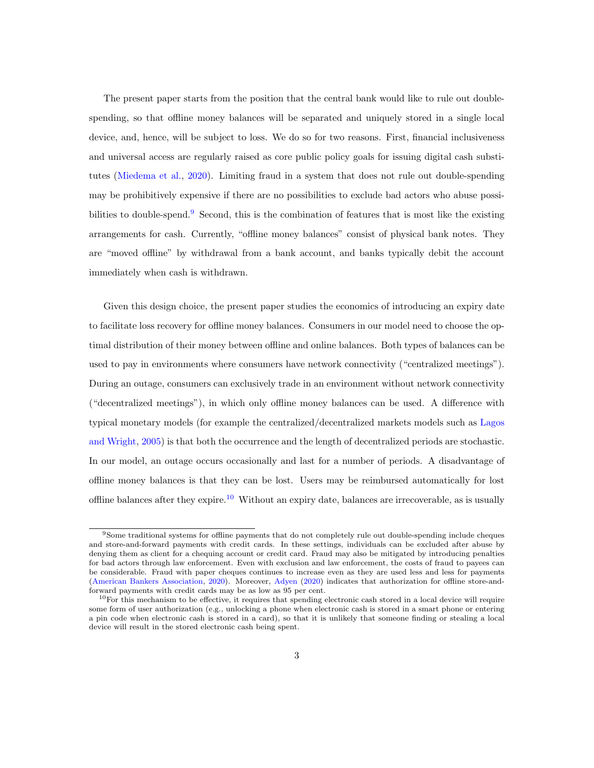The present paper starts from the position that the central bank would like to rule out doublespending, so that offline money balances will be separated and uniquely stored in a single local device, and, hence, will be subject to loss. We do so for two reasons. First, financial inclusiveness and universal access are regularly raised as core public policy goals for issuing digital cash substitutes [\(Miedema et al.,](#page-33-2) [2020\)](#page-33-2). Limiting fraud in a system that does not rule out double-spending may be prohibitively expensive if there are no possibilities to exclude bad actors who abuse possi-bilities to double-spend.<sup>[9](#page-3-0)</sup> Second, this is the combination of features that is most like the existing arrangements for cash. Currently, "offline money balances" consist of physical bank notes. They are "moved offline" by withdrawal from a bank account, and banks typically debit the account immediately when cash is withdrawn.

Given this design choice, the present paper studies the economics of introducing an expiry date to facilitate loss recovery for offline money balances. Consumers in our model need to choose the optimal distribution of their money between offline and online balances. Both types of balances can be used to pay in environments where consumers have network connectivity ("centralized meetings"). During an outage, consumers can exclusively trade in an environment without network connectivity ("decentralized meetings"), in which only offline money balances can be used. A difference with typical monetary models (for example the centralized/decentralized markets models such as [Lagos](#page-33-3) [and Wright,](#page-33-3) [2005\)](#page-33-3) is that both the occurrence and the length of decentralized periods are stochastic. In our model, an outage occurs occasionally and last for a number of periods. A disadvantage of offline money balances is that they can be lost. Users may be reimbursed automatically for lost offline balances after they expire.<sup>[10](#page-3-1)</sup> Without an expiry date, balances are irrecoverable, as is usually

<span id="page-3-0"></span><sup>9</sup>Some traditional systems for offline payments that do not completely rule out double-spending include cheques and store-and-forward payments with credit cards. In these settings, individuals can be excluded after abuse by denying them as client for a chequing account or credit card. Fraud may also be mitigated by introducing penalties for bad actors through law enforcement. Even with exclusion and law enforcement, the costs of fraud to payees can be considerable. Fraud with paper cheques continues to increase even as they are used less and less for payments [\(American Bankers Association,](#page-30-2) [2020\)](#page-30-2). Moreover, [Adyen](#page-29-0) [\(2020\)](#page-29-0) indicates that authorization for offline store-andforward payments with credit cards may be as low as 95 per cent.

<span id="page-3-1"></span> $10$ For this mechanism to be effective, it requires that spending electronic cash stored in a local device will require some form of user authorization (e.g., unlocking a phone when electronic cash is stored in a smart phone or entering a pin code when electronic cash is stored in a card), so that it is unlikely that someone finding or stealing a local device will result in the stored electronic cash being spent.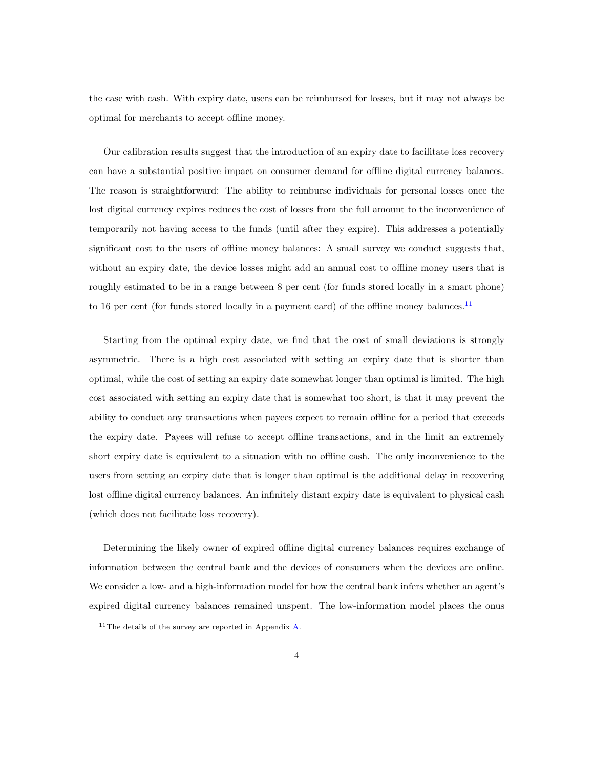the case with cash. With expiry date, users can be reimbursed for losses, but it may not always be optimal for merchants to accept offline money.

Our calibration results suggest that the introduction of an expiry date to facilitate loss recovery can have a substantial positive impact on consumer demand for offline digital currency balances. The reason is straightforward: The ability to reimburse individuals for personal losses once the lost digital currency expires reduces the cost of losses from the full amount to the inconvenience of temporarily not having access to the funds (until after they expire). This addresses a potentially significant cost to the users of offline money balances: A small survey we conduct suggests that, without an expiry date, the device losses might add an annual cost to offline money users that is roughly estimated to be in a range between 8 per cent (for funds stored locally in a smart phone) to 16 per cent (for funds stored locally in a payment card) of the offline money balances.<sup>[11](#page-4-0)</sup>

Starting from the optimal expiry date, we find that the cost of small deviations is strongly asymmetric. There is a high cost associated with setting an expiry date that is shorter than optimal, while the cost of setting an expiry date somewhat longer than optimal is limited. The high cost associated with setting an expiry date that is somewhat too short, is that it may prevent the ability to conduct any transactions when payees expect to remain offline for a period that exceeds the expiry date. Payees will refuse to accept offline transactions, and in the limit an extremely short expiry date is equivalent to a situation with no offline cash. The only inconvenience to the users from setting an expiry date that is longer than optimal is the additional delay in recovering lost offline digital currency balances. An infinitely distant expiry date is equivalent to physical cash (which does not facilitate loss recovery).

Determining the likely owner of expired offline digital currency balances requires exchange of information between the central bank and the devices of consumers when the devices are online. We consider a low- and a high-information model for how the central bank infers whether an agent's expired digital currency balances remained unspent. The low-information model places the onus

<span id="page-4-0"></span><sup>11</sup>The details of the survey are reported in Appendix [A.](#page-35-0)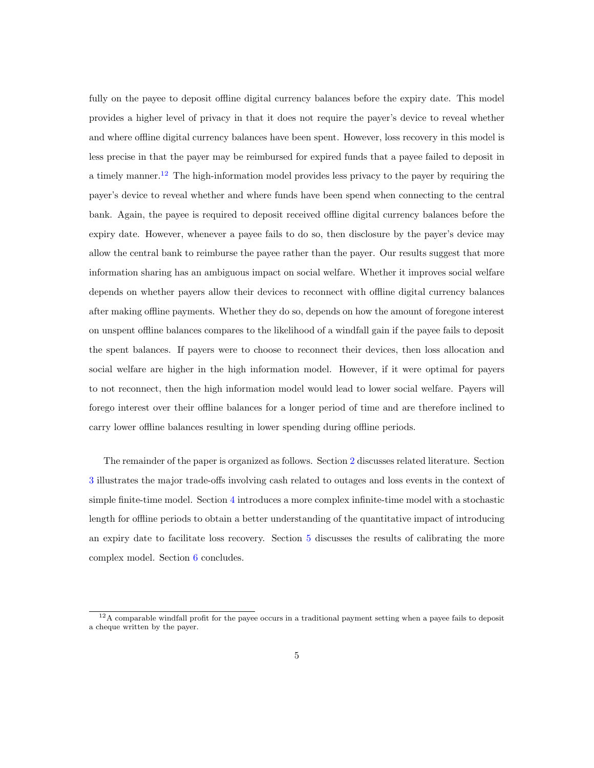fully on the payee to deposit offline digital currency balances before the expiry date. This model provides a higher level of privacy in that it does not require the payer's device to reveal whether and where offline digital currency balances have been spent. However, loss recovery in this model is less precise in that the payer may be reimbursed for expired funds that a payee failed to deposit in a timely manner.<sup>[12](#page-5-0)</sup> The high-information model provides less privacy to the payer by requiring the payer's device to reveal whether and where funds have been spend when connecting to the central bank. Again, the payee is required to deposit received offline digital currency balances before the expiry date. However, whenever a payee fails to do so, then disclosure by the payer's device may allow the central bank to reimburse the payee rather than the payer. Our results suggest that more information sharing has an ambiguous impact on social welfare. Whether it improves social welfare depends on whether payers allow their devices to reconnect with offline digital currency balances after making offline payments. Whether they do so, depends on how the amount of foregone interest on unspent offline balances compares to the likelihood of a windfall gain if the payee fails to deposit the spent balances. If payers were to choose to reconnect their devices, then loss allocation and social welfare are higher in the high information model. However, if it were optimal for payers to not reconnect, then the high information model would lead to lower social welfare. Payers will forego interest over their offline balances for a longer period of time and are therefore inclined to carry lower offline balances resulting in lower spending during offline periods.

The remainder of the paper is organized as follows. Section [2](#page-6-0) discusses related literature. Section [3](#page-7-0) illustrates the major trade-offs involving cash related to outages and loss events in the context of simple finite-time model. Section [4](#page-18-0) introduces a more complex infinite-time model with a stochastic length for offline periods to obtain a better understanding of the quantitative impact of introducing an expiry date to facilitate loss recovery. Section [5](#page-23-0) discusses the results of calibrating the more complex model. Section [6](#page-29-1) concludes.

<span id="page-5-0"></span> $12A$  comparable windfall profit for the payee occurs in a traditional payment setting when a payee fails to deposit a cheque written by the payer.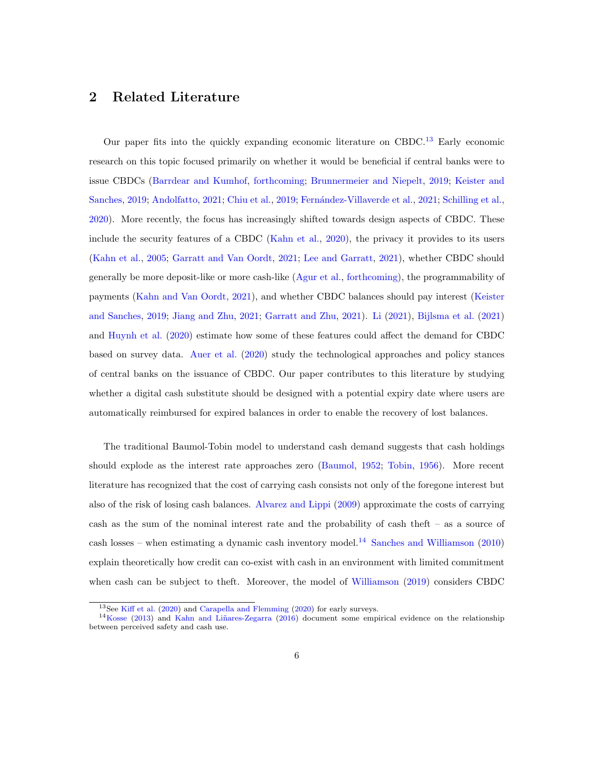### <span id="page-6-0"></span>2 Related Literature

Our paper fits into the quickly expanding economic literature on CBDC.<sup>[13](#page-6-1)</sup> Early economic research on this topic focused primarily on whether it would be beneficial if central banks were to issue CBDCs [\(Barrdear and Kumhof,](#page-30-3) [forthcoming;](#page-30-3) [Brunnermeier and Niepelt,](#page-31-3) [2019;](#page-31-3) [Keister and](#page-32-0) [Sanches,](#page-32-0) [2019;](#page-31-4) [Andolfatto,](#page-30-4) [2021;](#page-31-5) [Chiu et al.,](#page-31-4) 2019; Fernández-Villaverde et al., 2021; [Schilling et al.,](#page-33-4) [2020\)](#page-33-4). More recently, the focus has increasingly shifted towards design aspects of CBDC. These include the security features of a CBDC [\(Kahn et al.,](#page-32-1) [2020\)](#page-32-1), the privacy it provides to its users [\(Kahn et al.,](#page-32-2) [2005;](#page-32-2) [Garratt and Van Oordt,](#page-31-6) [2021;](#page-31-6) [Lee and Garratt,](#page-33-5) [2021\)](#page-33-5), whether CBDC should generally be more deposit-like or more cash-like [\(Agur et al.,](#page-30-5) [forthcoming\)](#page-30-5), the programmability of payments [\(Kahn and Van Oordt,](#page-32-3) [2021\)](#page-32-3), and whether CBDC balances should pay interest [\(Keister](#page-32-0) [and Sanches,](#page-32-0) [2019;](#page-32-0) [Jiang and Zhu,](#page-32-4) [2021;](#page-32-4) [Garratt and Zhu,](#page-31-7) [2021\)](#page-31-7). [Li](#page-33-6) [\(2021\)](#page-33-6), [Bijlsma et al.](#page-30-6) [\(2021\)](#page-30-6) and [Huynh et al.](#page-32-5) [\(2020\)](#page-32-5) estimate how some of these features could affect the demand for CBDC based on survey data. [Auer et al.](#page-30-7) [\(2020\)](#page-30-7) study the technological approaches and policy stances of central banks on the issuance of CBDC. Our paper contributes to this literature by studying whether a digital cash substitute should be designed with a potential expiry date where users are automatically reimbursed for expired balances in order to enable the recovery of lost balances.

The traditional Baumol-Tobin model to understand cash demand suggests that cash holdings should explode as the interest rate approaches zero [\(Baumol,](#page-30-8) [1952;](#page-30-8) [Tobin,](#page-34-1) [1956\)](#page-34-1). More recent literature has recognized that the cost of carrying cash consists not only of the foregone interest but also of the risk of losing cash balances. [Alvarez and Lippi](#page-30-9) [\(2009\)](#page-30-9) approximate the costs of carrying cash as the sum of the nominal interest rate and the probability of cash theft – as a source of cash losses – when estimating a dynamic cash inventory model.<sup>[14](#page-6-2)</sup> [Sanches and Williamson](#page-33-7) [\(2010\)](#page-33-7) explain theoretically how credit can co-exist with cash in an environment with limited commitment when cash can be subject to theft. Moreover, the model of [Williamson](#page-34-2) [\(2019\)](#page-34-2) considers CBDC

<span id="page-6-2"></span><span id="page-6-1"></span><sup>13</sup>See [Kiff et al.](#page-32-6) [\(2020\)](#page-32-6) and [Carapella and Flemming](#page-31-8) [\(2020\)](#page-31-8) for early surveys.

 $14$ [Kosse](#page-32-7) [\(2013\)](#page-32-7) and Kahn and Liñares-Zegarra [\(2016\)](#page-32-8) document some empirical evidence on the relationship between perceived safety and cash use.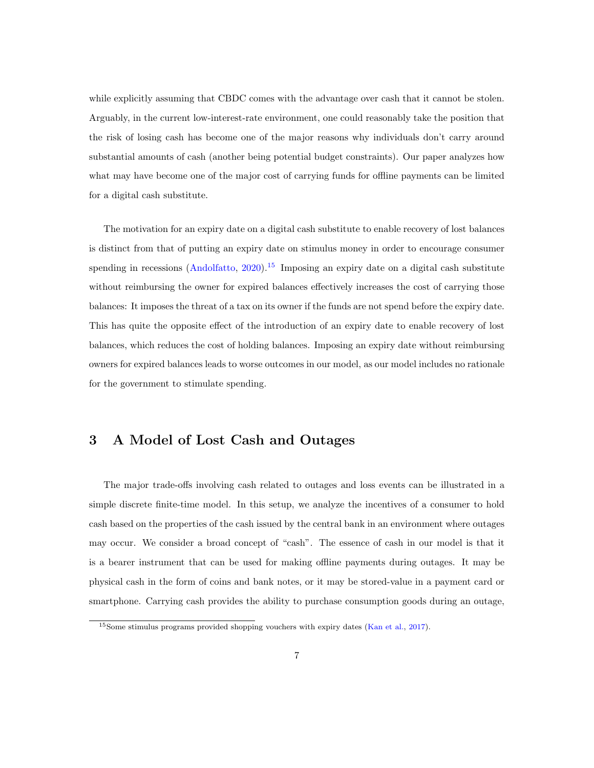while explicitly assuming that CBDC comes with the advantage over cash that it cannot be stolen. Arguably, in the current low-interest-rate environment, one could reasonably take the position that the risk of losing cash has become one of the major reasons why individuals don't carry around substantial amounts of cash (another being potential budget constraints). Our paper analyzes how what may have become one of the major cost of carrying funds for offline payments can be limited for a digital cash substitute.

The motivation for an expiry date on a digital cash substitute to enable recovery of lost balances is distinct from that of putting an expiry date on stimulus money in order to encourage consumer spending in recessions  $(Andolfatto, 2020).$  $(Andolfatto, 2020).$  $(Andolfatto, 2020).$ <sup>[15](#page-7-1)</sup> Imposing an expiry date on a digital cash substitute without reimbursing the owner for expired balances effectively increases the cost of carrying those balances: It imposes the threat of a tax on its owner if the funds are not spend before the expiry date. This has quite the opposite effect of the introduction of an expiry date to enable recovery of lost balances, which reduces the cost of holding balances. Imposing an expiry date without reimbursing owners for expired balances leads to worse outcomes in our model, as our model includes no rationale for the government to stimulate spending.

### <span id="page-7-0"></span>3 A Model of Lost Cash and Outages

The major trade-offs involving cash related to outages and loss events can be illustrated in a simple discrete finite-time model. In this setup, we analyze the incentives of a consumer to hold cash based on the properties of the cash issued by the central bank in an environment where outages may occur. We consider a broad concept of "cash". The essence of cash in our model is that it is a bearer instrument that can be used for making offline payments during outages. It may be physical cash in the form of coins and bank notes, or it may be stored-value in a payment card or smartphone. Carrying cash provides the ability to purchase consumption goods during an outage,

<span id="page-7-1"></span><sup>15</sup>Some stimulus programs provided shopping vouchers with expiry dates [\(Kan et al.,](#page-32-9) [2017\)](#page-32-9).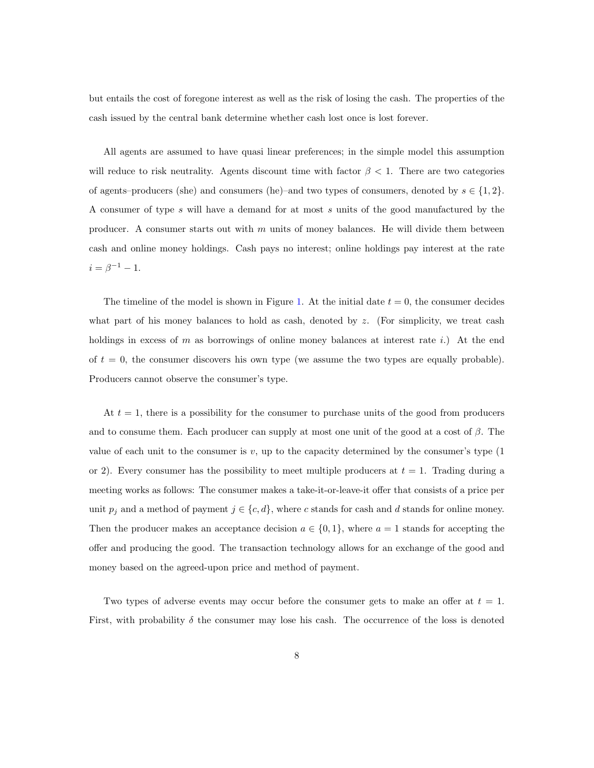but entails the cost of foregone interest as well as the risk of losing the cash. The properties of the cash issued by the central bank determine whether cash lost once is lost forever.

All agents are assumed to have quasi linear preferences; in the simple model this assumption will reduce to risk neutrality. Agents discount time with factor  $\beta < 1$ . There are two categories of agents–producers (she) and consumers (he)–and two types of consumers, denoted by  $s \in \{1,2\}$ . A consumer of type s will have a demand for at most s units of the good manufactured by the producer. A consumer starts out with  $m$  units of money balances. He will divide them between cash and online money holdings. Cash pays no interest; online holdings pay interest at the rate  $i = \beta^{-1} - 1.$ 

The timeline of the model is shown in Figure [1.](#page-9-0) At the initial date  $t = 0$ , the consumer decides what part of his money balances to hold as cash, denoted by  $z$ . (For simplicity, we treat cash holdings in excess of  $m$  as borrowings of online money balances at interest rate i.) At the end of  $t = 0$ , the consumer discovers his own type (we assume the two types are equally probable). Producers cannot observe the consumer's type.

At  $t = 1$ , there is a possibility for the consumer to purchase units of the good from producers and to consume them. Each producer can supply at most one unit of the good at a cost of  $\beta$ . The value of each unit to the consumer is  $v$ , up to the capacity determined by the consumer's type  $(1)$ or 2). Every consumer has the possibility to meet multiple producers at  $t = 1$ . Trading during a meeting works as follows: The consumer makes a take-it-or-leave-it offer that consists of a price per unit  $p_j$  and a method of payment  $j \in \{c, d\}$ , where c stands for cash and d stands for online money. Then the producer makes an acceptance decision  $a \in \{0, 1\}$ , where  $a = 1$  stands for accepting the offer and producing the good. The transaction technology allows for an exchange of the good and money based on the agreed-upon price and method of payment.

Two types of adverse events may occur before the consumer gets to make an offer at  $t = 1$ . First, with probability  $\delta$  the consumer may lose his cash. The occurrence of the loss is denoted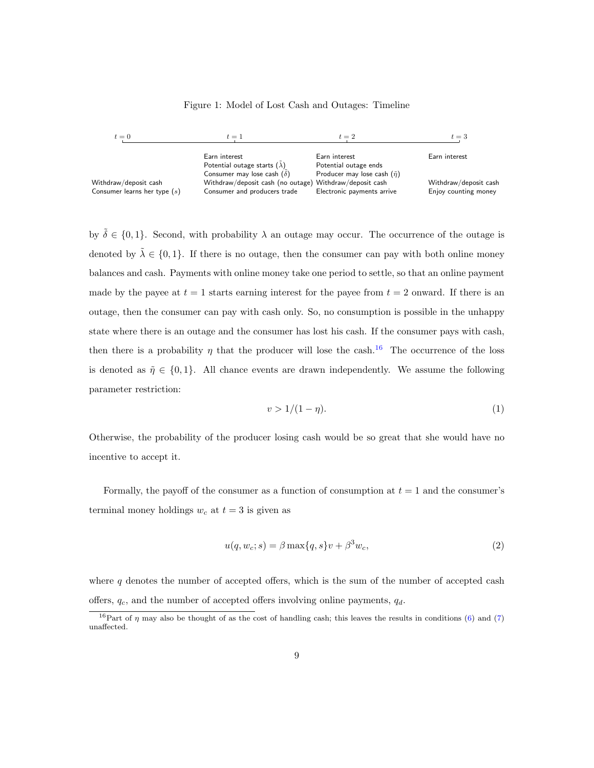#### <span id="page-9-0"></span>Figure 1: Model of Lost Cash and Outages: Timeline

| $t=0$                                                   | $t=1$                                                                                   |                                         | $t=3$                                         |
|---------------------------------------------------------|-----------------------------------------------------------------------------------------|-----------------------------------------|-----------------------------------------------|
|                                                         | Earn interest                                                                           | Earn interest                           | Earn interest                                 |
|                                                         | Potential outage starts $(\lambda)$                                                     | Potential outage ends                   |                                               |
|                                                         | Consumer may lose cash $(\delta)$                                                       | Producer may lose cash $(\tilde{\eta})$ |                                               |
| Withdraw/deposit cash<br>Consumer learns her type $(s)$ | Withdraw/deposit cash (no outage) Withdraw/deposit cash<br>Consumer and producers trade | Electronic payments arrive              | Withdraw/deposit cash<br>Enjoy counting money |

by  $\tilde{\delta} \in \{0, 1\}$ . Second, with probability  $\lambda$  an outage may occur. The occurrence of the outage is denoted by  $\lambda \in \{0,1\}$ . If there is no outage, then the consumer can pay with both online money balances and cash. Payments with online money take one period to settle, so that an online payment made by the payee at  $t = 1$  starts earning interest for the payee from  $t = 2$  onward. If there is an outage, then the consumer can pay with cash only. So, no consumption is possible in the unhappy state where there is an outage and the consumer has lost his cash. If the consumer pays with cash, then there is a probability  $\eta$  that the producer will lose the cash.<sup>[16](#page-9-1)</sup> The occurrence of the loss is denoted as  $\tilde{\eta} \in \{0, 1\}$ . All chance events are drawn independently. We assume the following parameter restriction:

<span id="page-9-3"></span>
$$
v > \frac{1}{1 - \eta}.\tag{1}
$$

Otherwise, the probability of the producer losing cash would be so great that she would have no incentive to accept it.

Formally, the payoff of the consumer as a function of consumption at  $t = 1$  and the consumer's terminal money holdings  $w_c$  at  $t = 3$  is given as

<span id="page-9-2"></span>
$$
u(q, w_c; s) = \beta \max\{q, s\}v + \beta^3 w_c,
$$
\n<sup>(2)</sup>

where  $q$  denotes the number of accepted offers, which is the sum of the number of accepted cash offers,  $q_c$ , and the number of accepted offers involving online payments,  $q_d$ .

<span id="page-9-1"></span><sup>&</sup>lt;sup>16</sup>Part of  $\eta$  may also be thought of as the cost of handling cash; this leaves the results in conditions [\(6\)](#page-11-0) and [\(7\)](#page-12-0) unaffected.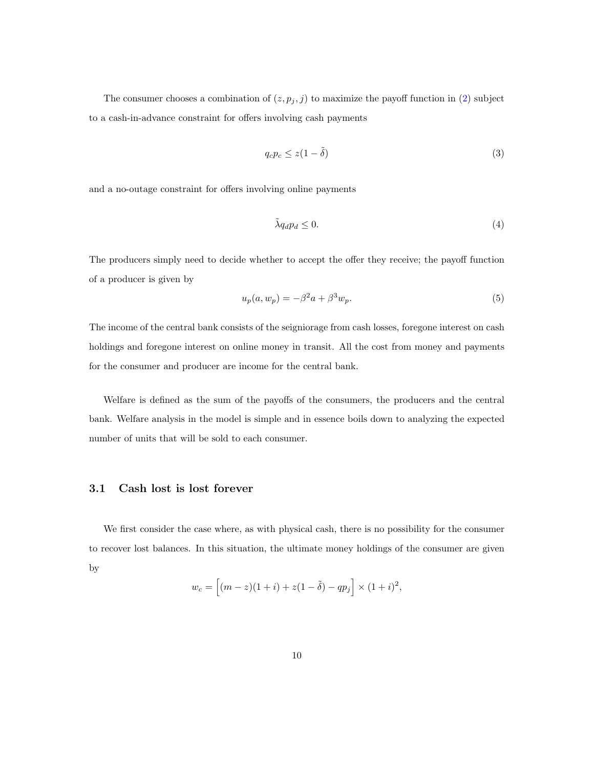The consumer chooses a combination of  $(z, p_j, j)$  to maximize the payoff function in [\(2\)](#page-9-2) subject to a cash-in-advance constraint for offers involving cash payments

$$
q_c p_c \le z(1 - \tilde{\delta})\tag{3}
$$

and a no-outage constraint for offers involving online payments

$$
\tilde{\lambda}q_d p_d \le 0. \tag{4}
$$

The producers simply need to decide whether to accept the offer they receive; the payoff function of a producer is given by

$$
u_p(a, w_p) = -\beta^2 a + \beta^3 w_p. \tag{5}
$$

The income of the central bank consists of the seigniorage from cash losses, foregone interest on cash holdings and foregone interest on online money in transit. All the cost from money and payments for the consumer and producer are income for the central bank.

Welfare is defined as the sum of the payoffs of the consumers, the producers and the central bank. Welfare analysis in the model is simple and in essence boils down to analyzing the expected number of units that will be sold to each consumer.

#### 3.1 Cash lost is lost forever

We first consider the case where, as with physical cash, there is no possibility for the consumer to recover lost balances. In this situation, the ultimate money holdings of the consumer are given by

$$
w_c = [(m - z)(1 + i) + z(1 - \tilde{\delta}) - qp_j] \times (1 + i)^2,
$$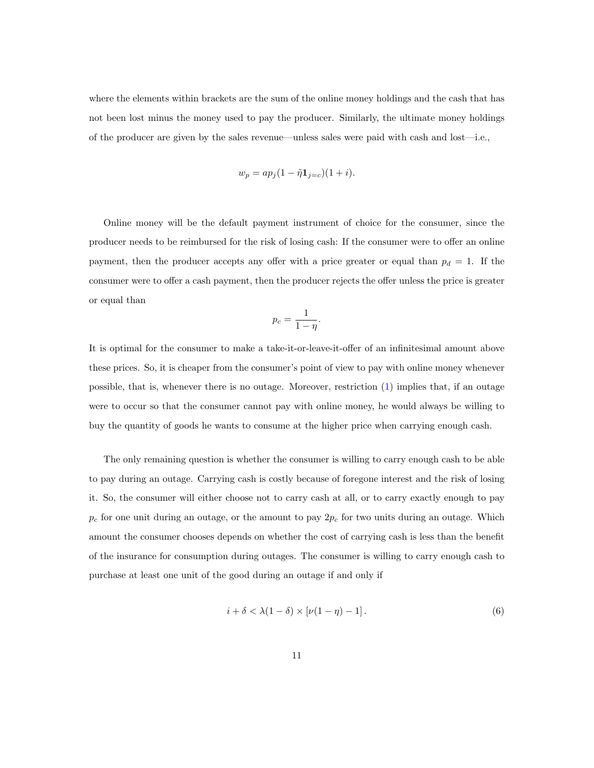where the elements within brackets are the sum of the online money holdings and the cash that has not been lost minus the money used to pay the producer. Similarly, the ultimate money holdings of the producer are given by the sales revenue—unless sales were paid with cash and lost—i.e.,

$$
w_p = ap_j(1 - \tilde{\eta} \mathbf{1}_{j=c})(1+i).
$$

Online money will be the default payment instrument of choice for the consumer, since the producer needs to be reimbursed for the risk of losing cash: If the consumer were to offer an online payment, then the producer accepts any offer with a price greater or equal than  $p_d = 1$ . If the consumer were to offer a cash payment, then the producer rejects the offer unless the price is greater or equal than

$$
p_c = \frac{1}{1 - \eta}.
$$

It is optimal for the consumer to make a take-it-or-leave-it-offer of an infinitesimal amount above these prices. So, it is cheaper from the consumer's point of view to pay with online money whenever possible, that is, whenever there is no outage. Moreover, restriction [\(1\)](#page-9-3) implies that, if an outage were to occur so that the consumer cannot pay with online money, he would always be willing to buy the quantity of goods he wants to consume at the higher price when carrying enough cash.

The only remaining question is whether the consumer is willing to carry enough cash to be able to pay during an outage. Carrying cash is costly because of foregone interest and the risk of losing it. So, the consumer will either choose not to carry cash at all, or to carry exactly enough to pay  $p_c$  for one unit during an outage, or the amount to pay  $2p_c$  for two units during an outage. Which amount the consumer chooses depends on whether the cost of carrying cash is less than the benefit of the insurance for consumption during outages. The consumer is willing to carry enough cash to purchase at least one unit of the good during an outage if and only if

<span id="page-11-0"></span>
$$
i + \delta < \lambda(1 - \delta) \times \left[\nu(1 - \eta) - 1\right].\tag{6}
$$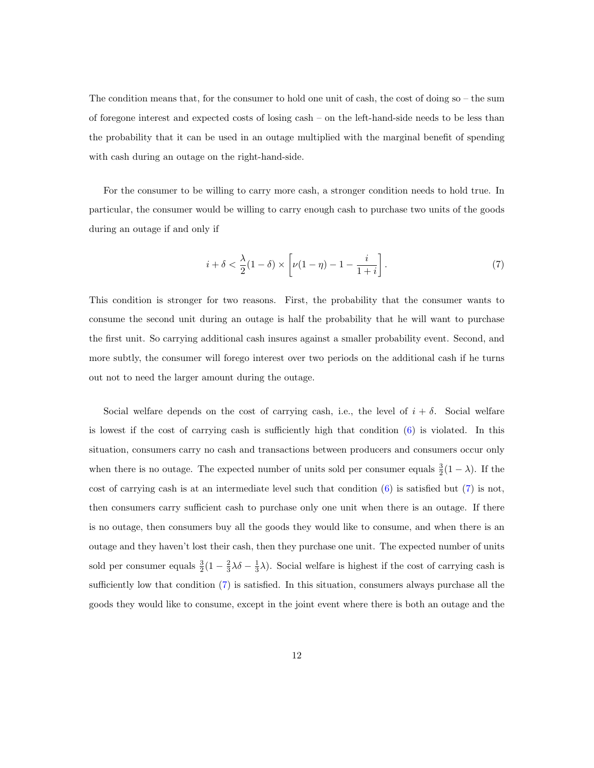The condition means that, for the consumer to hold one unit of cash, the cost of doing so – the sum of foregone interest and expected costs of losing cash – on the left-hand-side needs to be less than the probability that it can be used in an outage multiplied with the marginal benefit of spending with cash during an outage on the right-hand-side.

For the consumer to be willing to carry more cash, a stronger condition needs to hold true. In particular, the consumer would be willing to carry enough cash to purchase two units of the goods during an outage if and only if

<span id="page-12-0"></span>
$$
i + \delta < \frac{\lambda}{2}(1 - \delta) \times \left[ \nu(1 - \eta) - 1 - \frac{i}{1 + i} \right]. \tag{7}
$$

This condition is stronger for two reasons. First, the probability that the consumer wants to consume the second unit during an outage is half the probability that he will want to purchase the first unit. So carrying additional cash insures against a smaller probability event. Second, and more subtly, the consumer will forego interest over two periods on the additional cash if he turns out not to need the larger amount during the outage.

Social welfare depends on the cost of carrying cash, i.e., the level of  $i + \delta$ . Social welfare is lowest if the cost of carrying cash is sufficiently high that condition [\(6\)](#page-11-0) is violated. In this situation, consumers carry no cash and transactions between producers and consumers occur only when there is no outage. The expected number of units sold per consumer equals  $\frac{3}{2}(1-\lambda)$ . If the cost of carrying cash is at an intermediate level such that condition  $(6)$  is satisfied but  $(7)$  is not, then consumers carry sufficient cash to purchase only one unit when there is an outage. If there is no outage, then consumers buy all the goods they would like to consume, and when there is an outage and they haven't lost their cash, then they purchase one unit. The expected number of units sold per consumer equals  $\frac{3}{2}(1-\frac{2}{3}\lambda\delta-\frac{1}{3}\lambda)$ . Social welfare is highest if the cost of carrying cash is sufficiently low that condition [\(7\)](#page-12-0) is satisfied. In this situation, consumers always purchase all the goods they would like to consume, except in the joint event where there is both an outage and the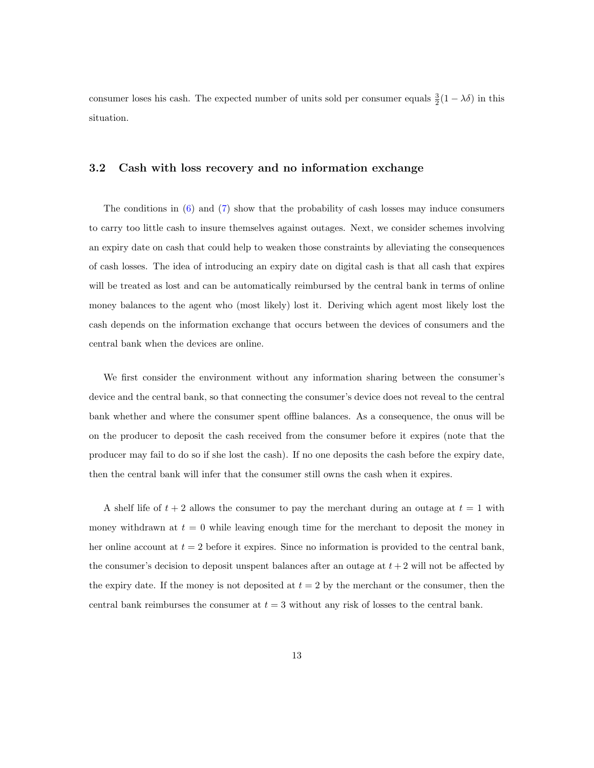consumer loses his cash. The expected number of units sold per consumer equals  $\frac{3}{2}(1 - \lambda \delta)$  in this situation.

#### 3.2 Cash with loss recovery and no information exchange

The conditions in [\(6\)](#page-11-0) and [\(7\)](#page-12-0) show that the probability of cash losses may induce consumers to carry too little cash to insure themselves against outages. Next, we consider schemes involving an expiry date on cash that could help to weaken those constraints by alleviating the consequences of cash losses. The idea of introducing an expiry date on digital cash is that all cash that expires will be treated as lost and can be automatically reimbursed by the central bank in terms of online money balances to the agent who (most likely) lost it. Deriving which agent most likely lost the cash depends on the information exchange that occurs between the devices of consumers and the central bank when the devices are online.

We first consider the environment without any information sharing between the consumer's device and the central bank, so that connecting the consumer's device does not reveal to the central bank whether and where the consumer spent offline balances. As a consequence, the onus will be on the producer to deposit the cash received from the consumer before it expires (note that the producer may fail to do so if she lost the cash). If no one deposits the cash before the expiry date, then the central bank will infer that the consumer still owns the cash when it expires.

A shelf life of  $t + 2$  allows the consumer to pay the merchant during an outage at  $t = 1$  with money withdrawn at  $t = 0$  while leaving enough time for the merchant to deposit the money in her online account at  $t = 2$  before it expires. Since no information is provided to the central bank, the consumer's decision to deposit unspent balances after an outage at  $t + 2$  will not be affected by the expiry date. If the money is not deposited at  $t = 2$  by the merchant or the consumer, then the central bank reimburses the consumer at  $t = 3$  without any risk of losses to the central bank.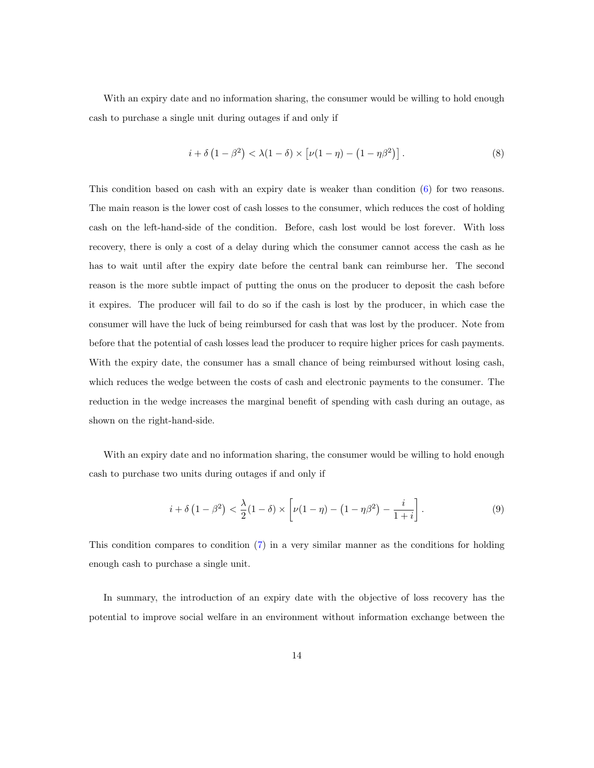With an expiry date and no information sharing, the consumer would be willing to hold enough cash to purchase a single unit during outages if and only if

<span id="page-14-0"></span>
$$
i + \delta \left(1 - \beta^2\right) < \lambda(1 - \delta) \times \left[\nu(1 - \eta) - \left(1 - \eta\beta^2\right)\right].\tag{8}
$$

This condition based on cash with an expiry date is weaker than condition [\(6\)](#page-11-0) for two reasons. The main reason is the lower cost of cash losses to the consumer, which reduces the cost of holding cash on the left-hand-side of the condition. Before, cash lost would be lost forever. With loss recovery, there is only a cost of a delay during which the consumer cannot access the cash as he has to wait until after the expiry date before the central bank can reimburse her. The second reason is the more subtle impact of putting the onus on the producer to deposit the cash before it expires. The producer will fail to do so if the cash is lost by the producer, in which case the consumer will have the luck of being reimbursed for cash that was lost by the producer. Note from before that the potential of cash losses lead the producer to require higher prices for cash payments. With the expiry date, the consumer has a small chance of being reimbursed without losing cash, which reduces the wedge between the costs of cash and electronic payments to the consumer. The reduction in the wedge increases the marginal benefit of spending with cash during an outage, as shown on the right-hand-side.

With an expiry date and no information sharing, the consumer would be willing to hold enough cash to purchase two units during outages if and only if

<span id="page-14-1"></span>
$$
i + \delta (1 - \beta^2) < \frac{\lambda}{2} (1 - \delta) \times \left[ \nu (1 - \eta) - (1 - \eta \beta^2) - \frac{i}{1 + i} \right]. \tag{9}
$$

This condition compares to condition [\(7\)](#page-12-0) in a very similar manner as the conditions for holding enough cash to purchase a single unit.

In summary, the introduction of an expiry date with the objective of loss recovery has the potential to improve social welfare in an environment without information exchange between the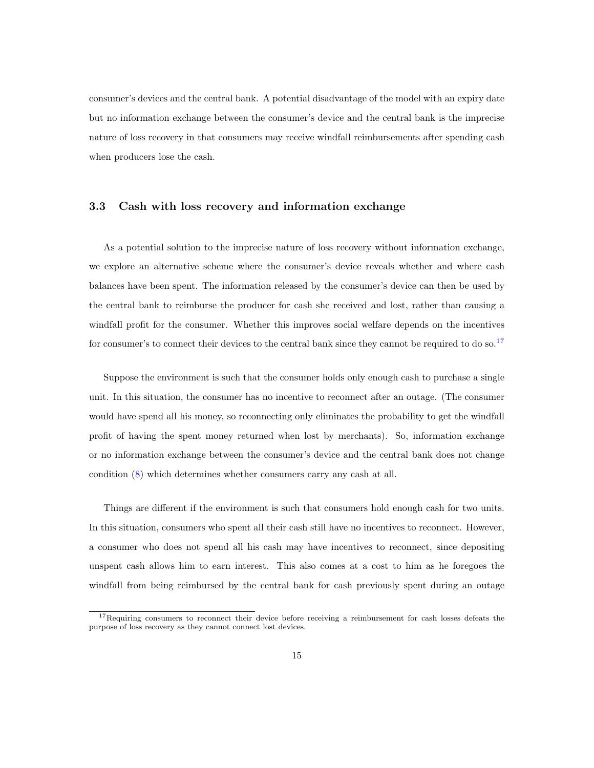consumer's devices and the central bank. A potential disadvantage of the model with an expiry date but no information exchange between the consumer's device and the central bank is the imprecise nature of loss recovery in that consumers may receive windfall reimbursements after spending cash when producers lose the cash.

#### 3.3 Cash with loss recovery and information exchange

As a potential solution to the imprecise nature of loss recovery without information exchange, we explore an alternative scheme where the consumer's device reveals whether and where cash balances have been spent. The information released by the consumer's device can then be used by the central bank to reimburse the producer for cash she received and lost, rather than causing a windfall profit for the consumer. Whether this improves social welfare depends on the incentives for consumer's to connect their devices to the central bank since they cannot be required to do so.<sup>[17](#page-15-0)</sup>

Suppose the environment is such that the consumer holds only enough cash to purchase a single unit. In this situation, the consumer has no incentive to reconnect after an outage. (The consumer would have spend all his money, so reconnecting only eliminates the probability to get the windfall profit of having the spent money returned when lost by merchants). So, information exchange or no information exchange between the consumer's device and the central bank does not change condition [\(8\)](#page-14-0) which determines whether consumers carry any cash at all.

Things are different if the environment is such that consumers hold enough cash for two units. In this situation, consumers who spent all their cash still have no incentives to reconnect. However, a consumer who does not spend all his cash may have incentives to reconnect, since depositing unspent cash allows him to earn interest. This also comes at a cost to him as he foregoes the windfall from being reimbursed by the central bank for cash previously spent during an outage

<span id="page-15-0"></span><sup>&</sup>lt;sup>17</sup>Requiring consumers to reconnect their device before receiving a reimbursement for cash losses defeats the purpose of loss recovery as they cannot connect lost devices.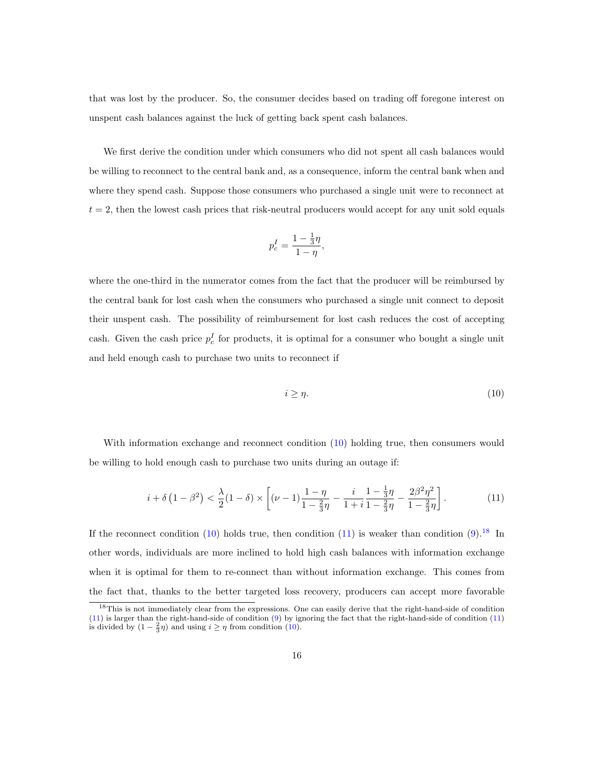that was lost by the producer. So, the consumer decides based on trading off foregone interest on unspent cash balances against the luck of getting back spent cash balances.

We first derive the condition under which consumers who did not spent all cash balances would be willing to reconnect to the central bank and, as a consequence, inform the central bank when and where they spend cash. Suppose those consumers who purchased a single unit were to reconnect at  $t = 2$ , then the lowest cash prices that risk-neutral producers would accept for any unit sold equals

$$
p_c^I=\frac{1-\frac{1}{3}\eta}{1-\eta},
$$

where the one-third in the numerator comes from the fact that the producer will be reimbursed by the central bank for lost cash when the consumers who purchased a single unit connect to deposit their unspent cash. The possibility of reimbursement for lost cash reduces the cost of accepting cash. Given the cash price  $p_c^I$  for products, it is optimal for a consumer who bought a single unit and held enough cash to purchase two units to reconnect if

<span id="page-16-0"></span>
$$
i \ge \eta. \tag{10}
$$

With information exchange and reconnect condition  $(10)$  holding true, then consumers would be willing to hold enough cash to purchase two units during an outage if:

<span id="page-16-1"></span>
$$
i + \delta \left( 1 - \beta^2 \right) < \frac{\lambda}{2} (1 - \delta) \times \left[ (\nu - 1) \frac{1 - \eta}{1 - \frac{2}{3}\eta} - \frac{i}{1 + i} \frac{1 - \frac{1}{3}\eta}{1 - \frac{2}{3}\eta} - \frac{2\beta^2 \eta^2}{1 - \frac{2}{3}\eta} \right]. \tag{11}
$$

If the reconnect condition  $(10)$  holds true, then condition  $(11)$  is weaker than condition  $(9).^{18}$  $(9).^{18}$  $(9).^{18}$  In other words, individuals are more inclined to hold high cash balances with information exchange when it is optimal for them to re-connect than without information exchange. This comes from the fact that, thanks to the better targeted loss recovery, producers can accept more favorable

<span id="page-16-2"></span><sup>18</sup>This is not immediately clear from the expressions. One can easily derive that the right-hand-side of condition [\(11\)](#page-16-1) is larger than the right-hand-side of condition [\(9\)](#page-14-1) by ignoring the fact that the right-hand-side of condition [\(11\)](#page-16-1) is divided by  $(1 - \frac{2}{3}\eta)$  and using  $i \ge \eta$  from condition [\(10\)](#page-16-0).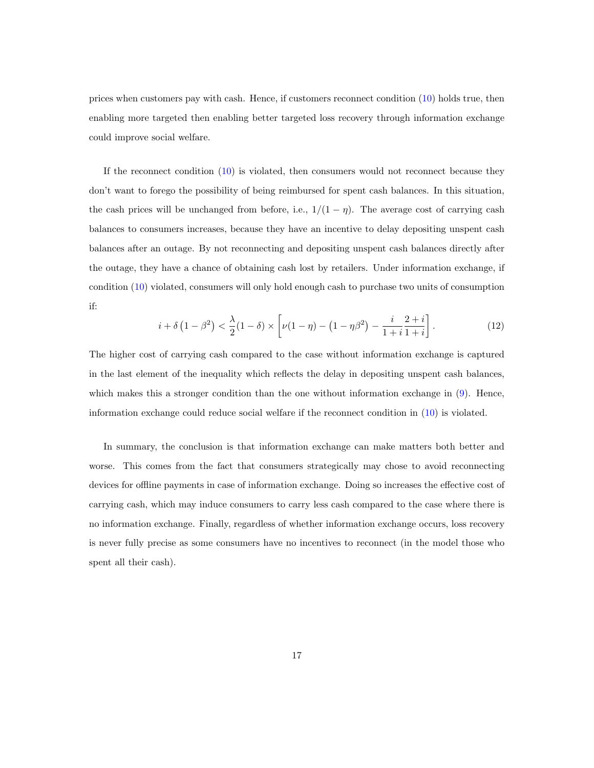prices when customers pay with cash. Hence, if customers reconnect condition [\(10\)](#page-16-0) holds true, then enabling more targeted then enabling better targeted loss recovery through information exchange could improve social welfare.

If the reconnect condition [\(10\)](#page-16-0) is violated, then consumers would not reconnect because they don't want to forego the possibility of being reimbursed for spent cash balances. In this situation, the cash prices will be unchanged from before, i.e.,  $1/(1 - \eta)$ . The average cost of carrying cash balances to consumers increases, because they have an incentive to delay depositing unspent cash balances after an outage. By not reconnecting and depositing unspent cash balances directly after the outage, they have a chance of obtaining cash lost by retailers. Under information exchange, if condition [\(10\)](#page-16-0) violated, consumers will only hold enough cash to purchase two units of consumption if:

$$
i + \delta \left( 1 - \beta^2 \right) < \frac{\lambda}{2} (1 - \delta) \times \left[ \nu (1 - \eta) - \left( 1 - \eta \beta^2 \right) - \frac{i}{1 + i} \frac{2 + i}{1 + i} \right]. \tag{12}
$$

The higher cost of carrying cash compared to the case without information exchange is captured in the last element of the inequality which reflects the delay in depositing unspent cash balances, which makes this a stronger condition than the one without information exchange in  $(9)$ . Hence, information exchange could reduce social welfare if the reconnect condition in [\(10\)](#page-16-0) is violated.

In summary, the conclusion is that information exchange can make matters both better and worse. This comes from the fact that consumers strategically may chose to avoid reconnecting devices for offline payments in case of information exchange. Doing so increases the effective cost of carrying cash, which may induce consumers to carry less cash compared to the case where there is no information exchange. Finally, regardless of whether information exchange occurs, loss recovery is never fully precise as some consumers have no incentives to reconnect (in the model those who spent all their cash).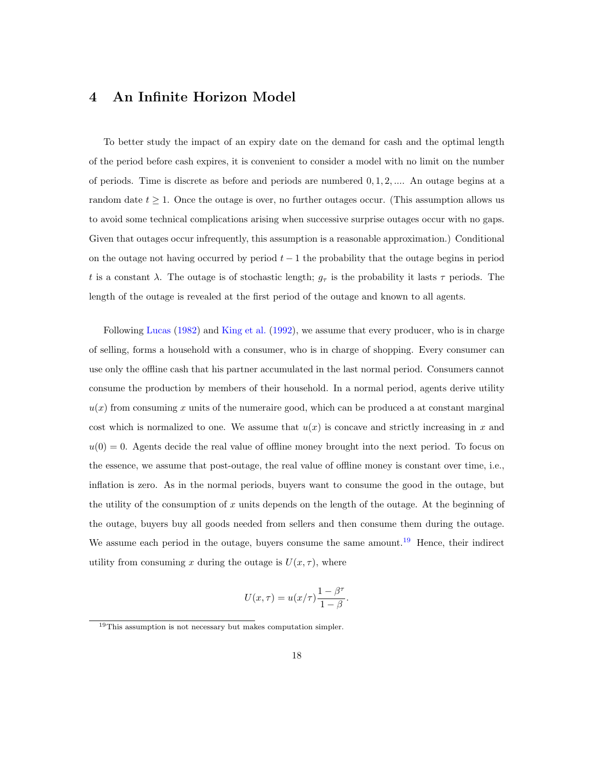# <span id="page-18-0"></span>4 An Infinite Horizon Model

To better study the impact of an expiry date on the demand for cash and the optimal length of the period before cash expires, it is convenient to consider a model with no limit on the number of periods. Time is discrete as before and periods are numbered 0, 1, 2, .... An outage begins at a random date  $t \geq 1$ . Once the outage is over, no further outages occur. (This assumption allows us to avoid some technical complications arising when successive surprise outages occur with no gaps. Given that outages occur infrequently, this assumption is a reasonable approximation.) Conditional on the outage not having occurred by period  $t-1$  the probability that the outage begins in period t is a constant  $\lambda$ . The outage is of stochastic length;  $g_{\tau}$  is the probability it lasts  $\tau$  periods. The length of the outage is revealed at the first period of the outage and known to all agents.

Following [Lucas](#page-33-8) [\(1982\)](#page-33-8) and [King et al.](#page-32-10) [\(1992\)](#page-32-10), we assume that every producer, who is in charge of selling, forms a household with a consumer, who is in charge of shopping. Every consumer can use only the offline cash that his partner accumulated in the last normal period. Consumers cannot consume the production by members of their household. In a normal period, agents derive utility  $u(x)$  from consuming x units of the numeraire good, which can be produced a at constant marginal cost which is normalized to one. We assume that  $u(x)$  is concave and strictly increasing in x and  $u(0) = 0$ . Agents decide the real value of offline money brought into the next period. To focus on the essence, we assume that post-outage, the real value of offline money is constant over time, i.e., inflation is zero. As in the normal periods, buyers want to consume the good in the outage, but the utility of the consumption of x units depends on the length of the outage. At the beginning of the outage, buyers buy all goods needed from sellers and then consume them during the outage. We assume each period in the outage, buyers consume the same amount.<sup>[19](#page-18-1)</sup> Hence, their indirect utility from consuming x during the outage is  $U(x, \tau)$ , where

<span id="page-18-2"></span>
$$
U(x,\tau) = u(x/\tau) \frac{1 - \beta^{\tau}}{1 - \beta}.
$$

<span id="page-18-1"></span><sup>&</sup>lt;sup>19</sup>This assumption is not necessary but makes computation simpler.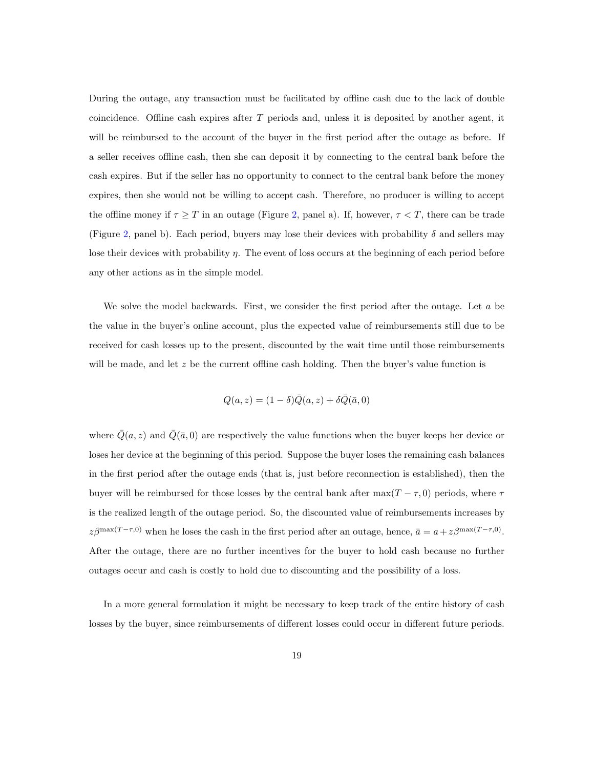During the outage, any transaction must be facilitated by offline cash due to the lack of double coincidence. Offline cash expires after  $T$  periods and, unless it is deposited by another agent, it will be reimbursed to the account of the buyer in the first period after the outage as before. If a seller receives offline cash, then she can deposit it by connecting to the central bank before the cash expires. But if the seller has no opportunity to connect to the central bank before the money expires, then she would not be willing to accept cash. Therefore, no producer is willing to accept the offline money if  $\tau \geq T$  in an outage (Figure [2,](#page-22-0) panel a). If, however,  $\tau < T$ , there can be trade (Figure [2,](#page-22-0) panel b). Each period, buyers may lose their devices with probability  $\delta$  and sellers may lose their devices with probability  $\eta$ . The event of loss occurs at the beginning of each period before any other actions as in the simple model.

We solve the model backwards. First, we consider the first period after the outage. Let a be the value in the buyer's online account, plus the expected value of reimbursements still due to be received for cash losses up to the present, discounted by the wait time until those reimbursements will be made, and let  $z$  be the current offline cash holding. Then the buyer's value function is

$$
Q(a, z) = (1 - \delta)\overline{Q}(a, z) + \delta\overline{Q}(\overline{a}, 0)
$$

where  $\overline{Q}(a, z)$  and  $\overline{Q}(\overline{a}, 0)$  are respectively the value functions when the buyer keeps her device or loses her device at the beginning of this period. Suppose the buyer loses the remaining cash balances in the first period after the outage ends (that is, just before reconnection is established), then the buyer will be reimbursed for those losses by the central bank after  $\max(T - \tau, 0)$  periods, where  $\tau$ is the realized length of the outage period. So, the discounted value of reimbursements increases by  $z\beta^{\max(T-\tau,0)}$  when he loses the cash in the first period after an outage, hence,  $\bar{a} = a + z\beta^{\max(T-\tau,0)}$ . After the outage, there are no further incentives for the buyer to hold cash because no further outages occur and cash is costly to hold due to discounting and the possibility of a loss.

In a more general formulation it might be necessary to keep track of the entire history of cash losses by the buyer, since reimbursements of different losses could occur in different future periods.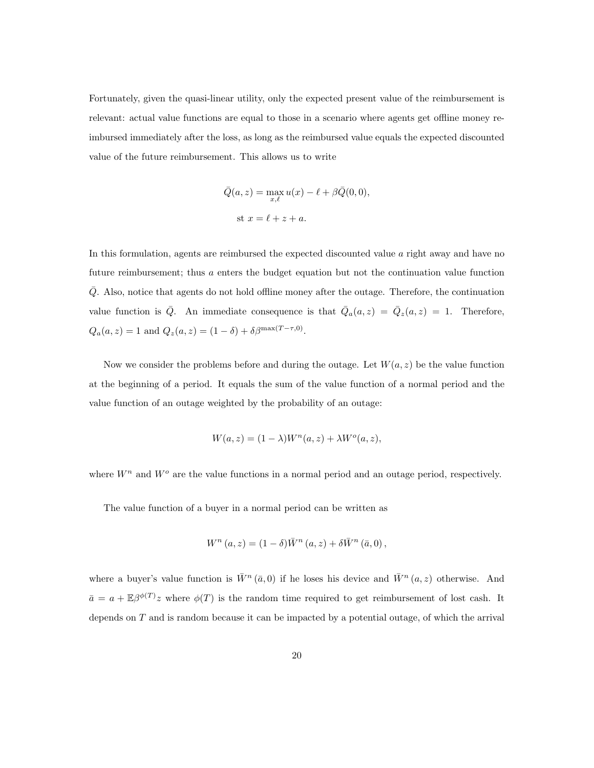Fortunately, given the quasi-linear utility, only the expected present value of the reimbursement is relevant: actual value functions are equal to those in a scenario where agents get offline money reimbursed immediately after the loss, as long as the reimbursed value equals the expected discounted value of the future reimbursement. This allows us to write

$$
\overline{Q}(a, z) = \max_{x, \ell} u(x) - \ell + \beta \overline{Q}(0, 0),
$$
  
st  $x = \ell + z + a$ .

In this formulation, agents are reimbursed the expected discounted value a right away and have no future reimbursement; thus a enters the budget equation but not the continuation value function  $\overline{Q}$ . Also, notice that agents do not hold offline money after the outage. Therefore, the continuation value function is  $\overline{Q}$ . An immediate consequence is that  $\overline{Q}_a(a,z) = \overline{Q}_z(a,z) = 1$ . Therefore,  $Q_a(a, z) = 1$  and  $Q_z(a, z) = (1 - \delta) + \delta \beta^{\max(T - \tau, 0)}$ .

Now we consider the problems before and during the outage. Let  $W(a, z)$  be the value function at the beginning of a period. It equals the sum of the value function of a normal period and the value function of an outage weighted by the probability of an outage:

$$
W(a, z) = (1 - \lambda)W^{n}(a, z) + \lambda W^{o}(a, z),
$$

where  $W^n$  and  $W^o$  are the value functions in a normal period and an outage period, respectively.

The value function of a buyer in a normal period can be written as

$$
W^{n}(a, z) = (1 - \delta)\overline{W}^{n}(a, z) + \delta\overline{W}^{n}(\overline{a}, 0),
$$

where a buyer's value function is  $\bar{W}^n(\bar{a},0)$  if he loses his device and  $\bar{W}^n(a,z)$  otherwise. And  $\bar{a} = a + \mathbb{E}\beta^{\phi(T)}z$  where  $\phi(T)$  is the random time required to get reimbursement of lost cash. It depends on  $T$  and is random because it can be impacted by a potential outage, of which the arrival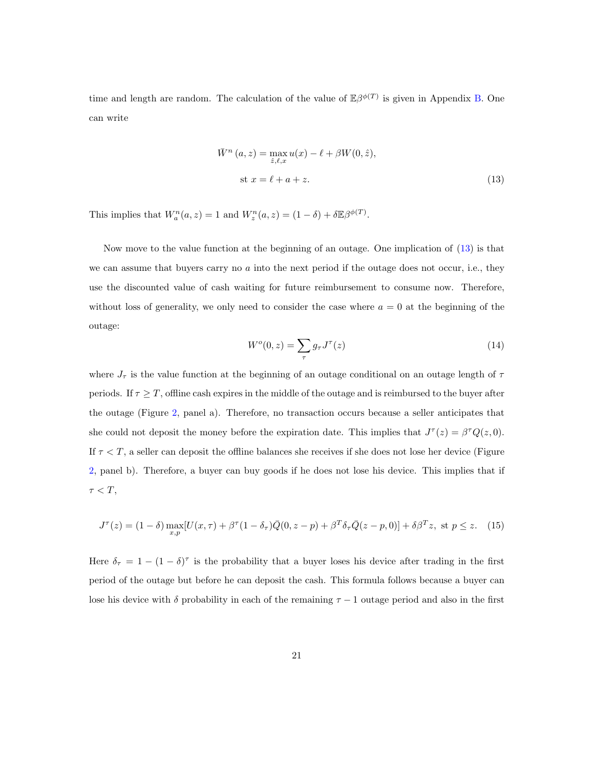time and length are random. The calculation of the value of  $\mathbb{E}\beta^{\phi(T)}$  is given in Appendix [B.](#page-37-0) One can write

$$
\bar{W}^n (a, z) = \max_{\hat{z}, \ell, x} u(x) - \ell + \beta W(0, \hat{z}),
$$
  
st  $x = \ell + a + z.$  (13)

This implies that  $W_a^n(a, z) = 1$  and  $W_z^n(a, z) = (1 - \delta) + \delta \mathbb{E} \beta^{\phi(T)}$ .

Now move to the value function at the beginning of an outage. One implication of [\(13\)](#page-18-2) is that we can assume that buyers carry no a into the next period if the outage does not occur, i.e., they use the discounted value of cash waiting for future reimbursement to consume now. Therefore, without loss of generality, we only need to consider the case where  $a = 0$  at the beginning of the outage:

$$
Wo(0, z) = \sum_{\tau} g_{\tau} J^{\tau}(z)
$$
\n(14)

where  $J_{\tau}$  is the value function at the beginning of an outage conditional on an outage length of  $\tau$ periods. If  $\tau \geq T$ , offline cash expires in the middle of the outage and is reimbursed to the buyer after the outage (Figure [2,](#page-22-0) panel a). Therefore, no transaction occurs because a seller anticipates that she could not deposit the money before the expiration date. This implies that  $J^{\tau}(z) = \beta^{\tau} Q(z, 0)$ . If  $\tau < T$ , a seller can deposit the offline balances she receives if she does not lose her device (Figure [2,](#page-22-0) panel b). Therefore, a buyer can buy goods if he does not lose his device. This implies that if  $\tau < T$ ,

$$
J^{\tau}(z) = (1 - \delta) \max_{x,p} [U(x,\tau) + \beta^{\tau} (1 - \delta_{\tau}) \bar{Q}(0, z - p) + \beta^T \delta_{\tau} \bar{Q}(z - p, 0)] + \delta \beta^T z, \text{ st } p \le z. \tag{15}
$$

Here  $\delta_{\tau} = 1 - (1 - \delta)^{\tau}$  is the probability that a buyer loses his device after trading in the first period of the outage but before he can deposit the cash. This formula follows because a buyer can lose his device with  $\delta$  probability in each of the remaining  $\tau - 1$  outage period and also in the first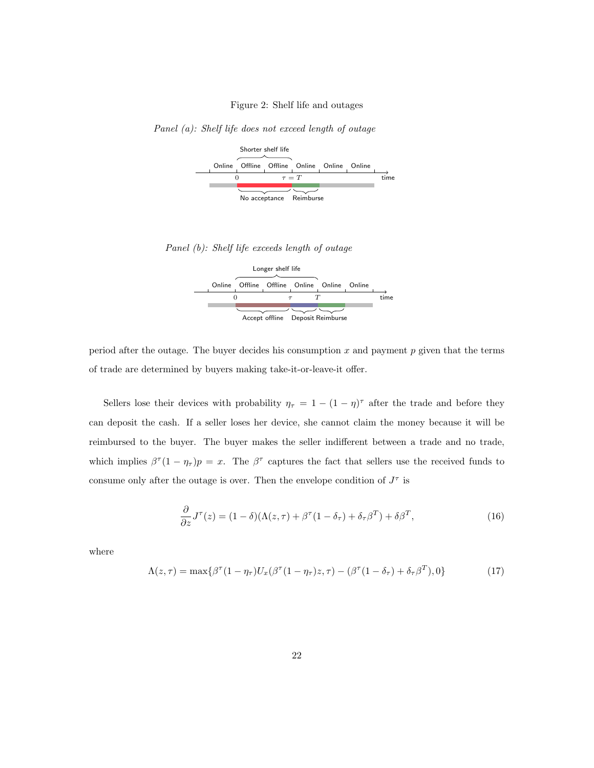#### <span id="page-22-0"></span>Figure 2: Shelf life and outages

Panel (a): Shelf life does not exceed length of outage



Panel (b): Shelf life exceeds length of outage



period after the outage. The buyer decides his consumption  $x$  and payment  $p$  given that the terms of trade are determined by buyers making take-it-or-leave-it offer.

Sellers lose their devices with probability  $\eta_{\tau} = 1 - (1 - \eta)^{\tau}$  after the trade and before they can deposit the cash. If a seller loses her device, she cannot claim the money because it will be reimbursed to the buyer. The buyer makes the seller indifferent between a trade and no trade, which implies  $\beta^{\tau}(1-\eta_{\tau})p=x$ . The  $\beta^{\tau}$  captures the fact that sellers use the received funds to consume only after the outage is over. Then the envelope condition of  $J^{\tau}$  is

$$
\frac{\partial}{\partial z}J^{\tau}(z) = (1 - \delta)(\Lambda(z, \tau) + \beta^{\tau}(1 - \delta_{\tau}) + \delta_{\tau}\beta^T) + \delta\beta^T,
$$
\n(16)

where

$$
\Lambda(z,\tau) = \max\{\beta^{\tau}(1-\eta_{\tau})U_x(\beta^{\tau}(1-\eta_{\tau})z,\tau) - (\beta^{\tau}(1-\delta_{\tau}) + \delta_{\tau}\beta^T),0\}
$$
(17)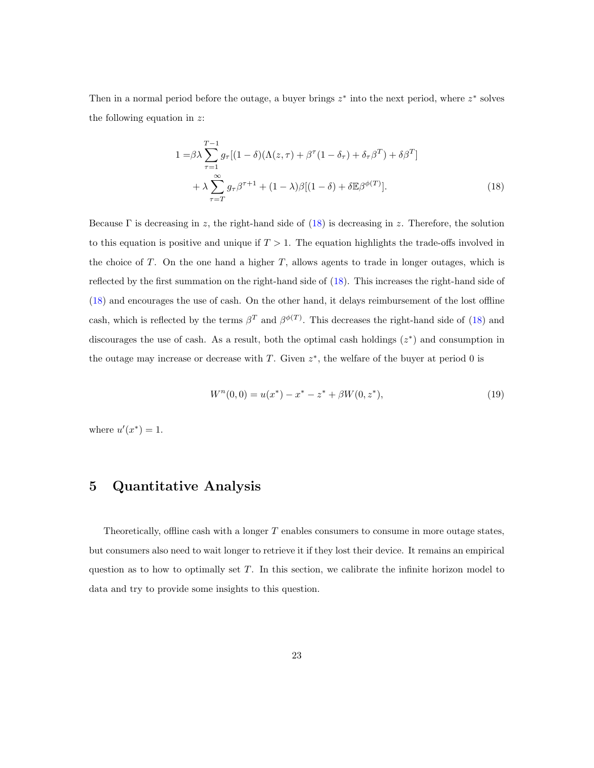Then in a normal period before the outage, a buyer brings  $z^*$  into the next period, where  $z^*$  solves the following equation in  $z$ :

<span id="page-23-1"></span>
$$
1 = \beta \lambda \sum_{\tau=1}^{T-1} g_{\tau} [(1 - \delta)(\Lambda(z, \tau) + \beta^{\tau} (1 - \delta_{\tau}) + \delta_{\tau} \beta^{T}) + \delta \beta^{T}] + \lambda \sum_{\tau=T}^{\infty} g_{\tau} \beta^{\tau+1} + (1 - \lambda) \beta [(1 - \delta) + \delta \mathbb{E} \beta^{\phi(T)}].
$$
 (18)

Because  $\Gamma$  is decreasing in z, the right-hand side of [\(18\)](#page-23-1) is decreasing in z. Therefore, the solution to this equation is positive and unique if  $T > 1$ . The equation highlights the trade-offs involved in the choice of  $T$ . On the one hand a higher  $T$ , allows agents to trade in longer outages, which is reflected by the first summation on the right-hand side of [\(18\)](#page-23-1). This increases the right-hand side of [\(18\)](#page-23-1) and encourages the use of cash. On the other hand, it delays reimbursement of the lost offline cash, which is reflected by the terms  $\beta^T$  and  $\beta^{\phi(T)}$ . This decreases the right-hand side of [\(18\)](#page-23-1) and discourages the use of cash. As a result, both the optimal cash holdings  $(z^*)$  and consumption in the outage may increase or decrease with  $T$ . Given  $z^*$ , the welfare of the buyer at period 0 is

$$
W^{n}(0,0) = u(x^{*}) - x^{*} - z^{*} + \beta W(0, z^{*}),
$$
\n(19)

<span id="page-23-0"></span>where  $u'(x^*) = 1$ .

# 5 Quantitative Analysis

Theoretically, offline cash with a longer T enables consumers to consume in more outage states, but consumers also need to wait longer to retrieve it if they lost their device. It remains an empirical question as to how to optimally set  $T$ . In this section, we calibrate the infinite horizon model to data and try to provide some insights to this question.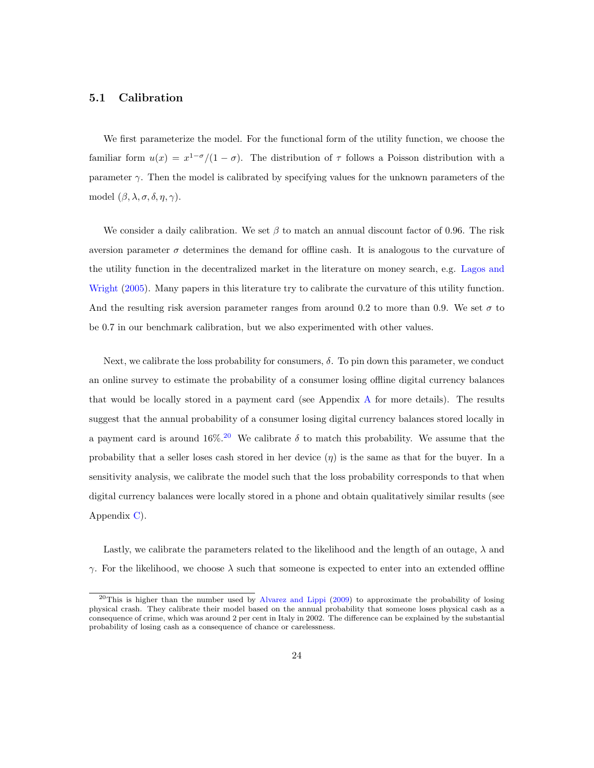#### 5.1 Calibration

We first parameterize the model. For the functional form of the utility function, we choose the familiar form  $u(x) = x^{1-\sigma}/(1-\sigma)$ . The distribution of  $\tau$  follows a Poisson distribution with a parameter  $\gamma$ . Then the model is calibrated by specifying values for the unknown parameters of the model  $(\beta, \lambda, \sigma, \delta, \eta, \gamma)$ .

We consider a daily calibration. We set  $\beta$  to match an annual discount factor of 0.96. The risk aversion parameter  $\sigma$  determines the demand for offline cash. It is analogous to the curvature of the utility function in the decentralized market in the literature on money search, e.g. [Lagos and](#page-33-3) [Wright](#page-33-3) [\(2005\)](#page-33-3). Many papers in this literature try to calibrate the curvature of this utility function. And the resulting risk aversion parameter ranges from around 0.2 to more than 0.9. We set  $\sigma$  to be 0.7 in our benchmark calibration, but we also experimented with other values.

Next, we calibrate the loss probability for consumers,  $\delta$ . To pin down this parameter, we conduct an online survey to estimate the probability of a consumer losing offline digital currency balances that would be locally stored in a payment card (see Appendix [A](#page-35-0) for more details). The results suggest that the annual probability of a consumer losing digital currency balances stored locally in a payment card is around 16%.<sup>[20](#page-24-0)</sup> We calibrate  $\delta$  to match this probability. We assume that the probability that a seller loses cash stored in her device  $(\eta)$  is the same as that for the buyer. In a sensitivity analysis, we calibrate the model such that the loss probability corresponds to that when digital currency balances were locally stored in a phone and obtain qualitatively similar results (see Appendix [C\)](#page-38-0).

Lastly, we calibrate the parameters related to the likelihood and the length of an outage,  $\lambda$  and  $\gamma$ . For the likelihood, we choose  $\lambda$  such that someone is expected to enter into an extended offline

<span id="page-24-0"></span><sup>&</sup>lt;sup>20</sup>This is higher than the number used by [Alvarez and Lippi](#page-30-9) [\(2009\)](#page-30-9) to approximate the probability of losing physical crash. They calibrate their model based on the annual probability that someone loses physical cash as a consequence of crime, which was around 2 per cent in Italy in 2002. The difference can be explained by the substantial probability of losing cash as a consequence of chance or carelessness.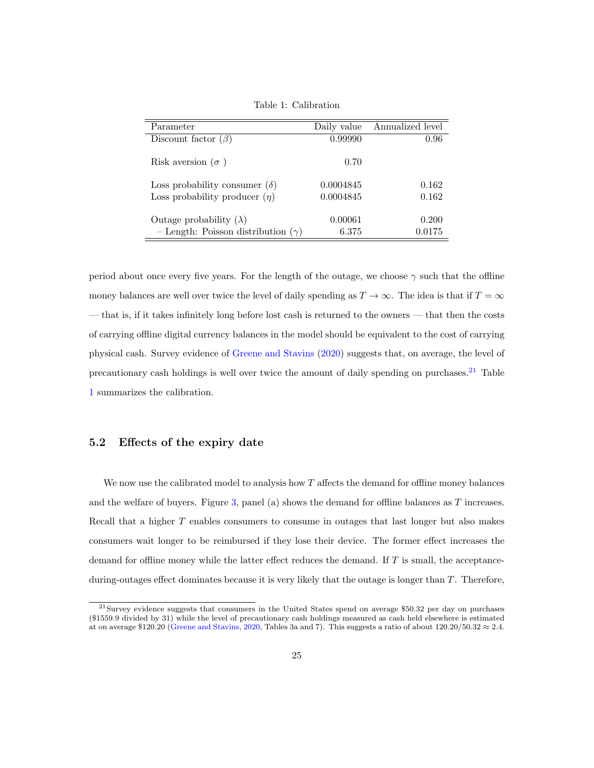| Parameter                                 | Daily value | Annualized level |
|-------------------------------------------|-------------|------------------|
| Discount factor $(\beta)$                 | 0.99990     | 0.96             |
| Risk aversion ( $\sigma$ )                | 0.70        |                  |
| Loss probability consumer $(\delta)$      | 0.0004845   | 0.162            |
| Loss probability producer $(\eta)$        | 0.0004845   | 0.162            |
| Outage probability $(\lambda)$            | 0.00061     | 0.200            |
| - Length: Poisson distribution $(\gamma)$ | 6.375       | 0.0175           |

<span id="page-25-1"></span>Table 1: Calibration

period about once every five years. For the length of the outage, we choose  $\gamma$  such that the offline money balances are well over twice the level of daily spending as  $T \to \infty$ . The idea is that if  $T = \infty$ — that is, if it takes infinitely long before lost cash is returned to the owners — that then the costs of carrying offline digital currency balances in the model should be equivalent to the cost of carrying physical cash. Survey evidence of [Greene and Stavins](#page-31-9) [\(2020\)](#page-31-9) suggests that, on average, the level of precautionary cash holdings is well over twice the amount of daily spending on purchases.<sup>[21](#page-25-0)</sup> Table [1](#page-25-1) summarizes the calibration.

#### 5.2 Effects of the expiry date

We now use the calibrated model to analysis how  $T$  affects the demand for offline money balances and the welfare of buyers. Figure [3,](#page-26-0) panel (a) shows the demand for offline balances as  $T$  increases. Recall that a higher T enables consumers to consume in outages that last longer but also makes consumers wait longer to be reimbursed if they lose their device. The former effect increases the demand for offline money while the latter effect reduces the demand. If  $T$  is small, the acceptanceduring-outages effect dominates because it is very likely that the outage is longer than T. Therefore,

<span id="page-25-0"></span> $21$ Survey evidence suggests that consumers in the United States spend on average \$50.32 per day on purchases (\$1559.9 divided by 31) while the level of precautionary cash holdings measured as cash held elsewhere is estimated at on average \$120.20 [\(Greene and Stavins,](#page-31-9) [2020,](#page-31-9) Tables 3a and 7). This suggests a ratio of about  $120.20/50.32 \approx 2.4$ .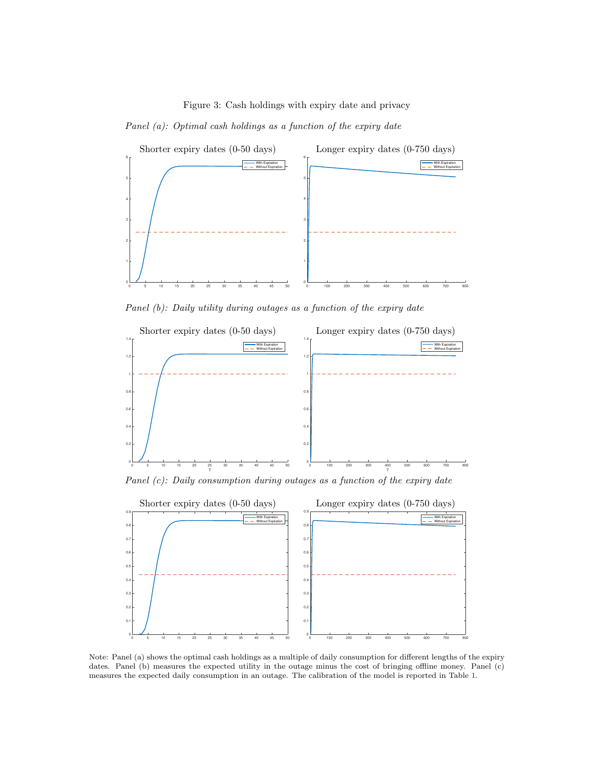<span id="page-26-0"></span>Panel (a): Optimal cash holdings as a function of the expiry date



Panel (b): Daily utility during outages as a function of the expiry date



Panel (c): Daily consumption during outages as a function of the expiry date



Note: Panel (a) shows the optimal cash holdings as a multiple of daily consumption for different lengths of the expiry dates. Panel (b) measures the expected utility in the outage minus the cost of bringing offline money. Panel (c) measures the expected daily consumption in an outage. The calibration of the model is reported in Table [1.](#page-25-1)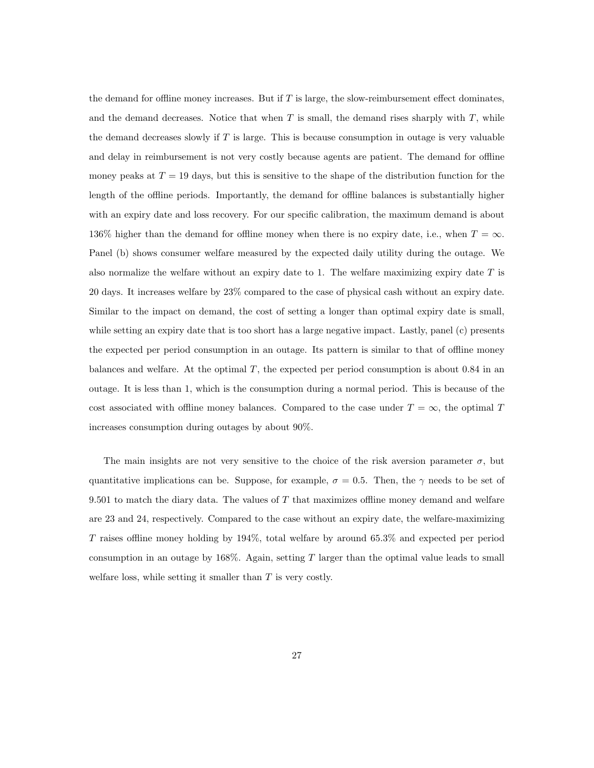the demand for offline money increases. But if  $T$  is large, the slow-reimbursement effect dominates, and the demand decreases. Notice that when  $T$  is small, the demand rises sharply with  $T$ , while the demand decreases slowly if  $T$  is large. This is because consumption in outage is very valuable and delay in reimbursement is not very costly because agents are patient. The demand for offline money peaks at  $T = 19$  days, but this is sensitive to the shape of the distribution function for the length of the offline periods. Importantly, the demand for offline balances is substantially higher with an expiry date and loss recovery. For our specific calibration, the maximum demand is about 136% higher than the demand for offline money when there is no expiry date, i.e., when  $T = \infty$ . Panel (b) shows consumer welfare measured by the expected daily utility during the outage. We also normalize the welfare without an expiry date to 1. The welfare maximizing expiry date  $T$  is 20 days. It increases welfare by 23% compared to the case of physical cash without an expiry date. Similar to the impact on demand, the cost of setting a longer than optimal expiry date is small, while setting an expiry date that is too short has a large negative impact. Lastly, panel (c) presents the expected per period consumption in an outage. Its pattern is similar to that of offline money balances and welfare. At the optimal  $T$ , the expected per period consumption is about 0.84 in an outage. It is less than 1, which is the consumption during a normal period. This is because of the cost associated with offline money balances. Compared to the case under  $T = \infty$ , the optimal T increases consumption during outages by about 90%.

The main insights are not very sensitive to the choice of the risk aversion parameter  $\sigma$ , but quantitative implications can be. Suppose, for example,  $\sigma = 0.5$ . Then, the  $\gamma$  needs to be set of 9.501 to match the diary data. The values of  $T$  that maximizes offline money demand and welfare are 23 and 24, respectively. Compared to the case without an expiry date, the welfare-maximizing T raises offline money holding by 194%, total welfare by around 65.3% and expected per period consumption in an outage by  $168\%$ . Again, setting T larger than the optimal value leads to small welfare loss, while setting it smaller than  $T$  is very costly.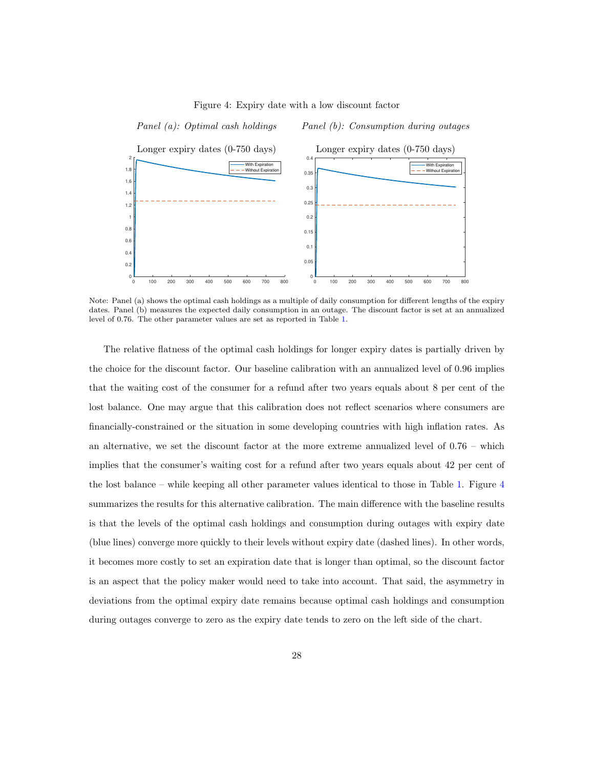

<span id="page-28-0"></span>Figure 4: Expiry date with a low discount factor

Note: Panel (a) shows the optimal cash holdings as a multiple of daily consumption for different lengths of the expiry dates. Panel (b) measures the expected daily consumption in an outage. The discount factor is set at an annualized level of 0.76. The other parameter values are set as reported in Table [1.](#page-25-1)

The relative flatness of the optimal cash holdings for longer expiry dates is partially driven by the choice for the discount factor. Our baseline calibration with an annualized level of 0.96 implies that the waiting cost of the consumer for a refund after two years equals about 8 per cent of the lost balance. One may argue that this calibration does not reflect scenarios where consumers are financially-constrained or the situation in some developing countries with high inflation rates. As an alternative, we set the discount factor at the more extreme annualized level of 0.76 – which implies that the consumer's waiting cost for a refund after two years equals about 42 per cent of the lost balance – while keeping all other parameter values identical to those in Table [1.](#page-25-1) Figure [4](#page-28-0) summarizes the results for this alternative calibration. The main difference with the baseline results is that the levels of the optimal cash holdings and consumption during outages with expiry date (blue lines) converge more quickly to their levels without expiry date (dashed lines). In other words, it becomes more costly to set an expiration date that is longer than optimal, so the discount factor is an aspect that the policy maker would need to take into account. That said, the asymmetry in deviations from the optimal expiry date remains because optimal cash holdings and consumption during outages converge to zero as the expiry date tends to zero on the left side of the chart.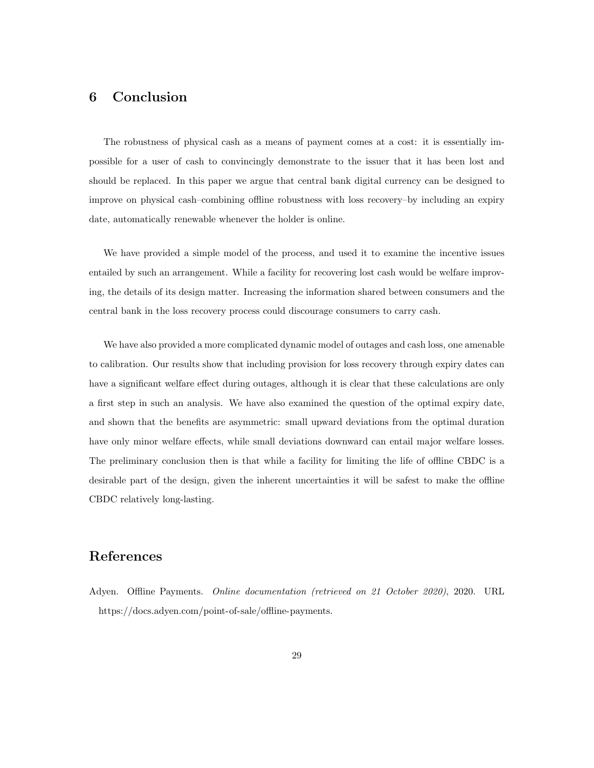# <span id="page-29-1"></span>6 Conclusion

The robustness of physical cash as a means of payment comes at a cost: it is essentially impossible for a user of cash to convincingly demonstrate to the issuer that it has been lost and should be replaced. In this paper we argue that central bank digital currency can be designed to improve on physical cash–combining offline robustness with loss recovery–by including an expiry date, automatically renewable whenever the holder is online.

We have provided a simple model of the process, and used it to examine the incentive issues entailed by such an arrangement. While a facility for recovering lost cash would be welfare improving, the details of its design matter. Increasing the information shared between consumers and the central bank in the loss recovery process could discourage consumers to carry cash.

We have also provided a more complicated dynamic model of outages and cash loss, one amenable to calibration. Our results show that including provision for loss recovery through expiry dates can have a significant welfare effect during outages, although it is clear that these calculations are only a first step in such an analysis. We have also examined the question of the optimal expiry date, and shown that the benefits are asymmetric: small upward deviations from the optimal duration have only minor welfare effects, while small deviations downward can entail major welfare losses. The preliminary conclusion then is that while a facility for limiting the life of offline CBDC is a desirable part of the design, given the inherent uncertainties it will be safest to make the offline CBDC relatively long-lasting.

# References

<span id="page-29-0"></span>Adyen. Offline Payments. Online documentation (retrieved on 21 October 2020), 2020. URL [https://docs.adyen.com/point-of-sale/offline-payments.](https://docs.adyen.com/point-of-sale/offline-payments)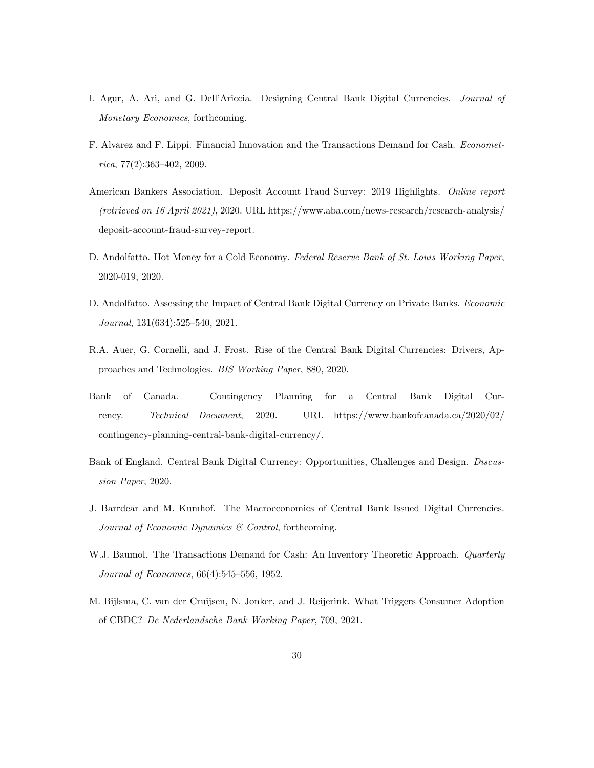- <span id="page-30-5"></span>I. Agur, A. Ari, and G. Dell'Ariccia. Designing Central Bank Digital Currencies. Journal of Monetary Economics, forthcoming.
- <span id="page-30-9"></span>F. Alvarez and F. Lippi. Financial Innovation and the Transactions Demand for Cash. Econometrica, 77(2):363–402, 2009.
- <span id="page-30-2"></span>American Bankers Association. Deposit Account Fraud Survey: 2019 Highlights. Online report (retrieved on 16 April 2021), 2020. URL [https://www.aba.com/news-research/research-analysis/](https://www.aba.com/news-research/research-analysis/deposit-account-fraud-survey-report) [deposit-account-fraud-survey-report.](https://www.aba.com/news-research/research-analysis/deposit-account-fraud-survey-report)
- <span id="page-30-10"></span>D. Andolfatto. Hot Money for a Cold Economy. Federal Reserve Bank of St. Louis Working Paper, 2020-019, 2020.
- <span id="page-30-4"></span>D. Andolfatto. Assessing the Impact of Central Bank Digital Currency on Private Banks. Economic Journal, 131(634):525–540, 2021.
- <span id="page-30-7"></span>R.A. Auer, G. Cornelli, and J. Frost. Rise of the Central Bank Digital Currencies: Drivers, Approaches and Technologies. BIS Working Paper, 880, 2020.
- <span id="page-30-0"></span>Bank of Canada. Contingency Planning for a Central Bank Digital Currency. Technical Document, 2020. URL [https://www.bankofcanada.ca/2020/02/](https://www.bankofcanada.ca/2020/02/contingency-planning-central-bank-digital-currency/) [contingency-planning-central-bank-digital-currency/.](https://www.bankofcanada.ca/2020/02/contingency-planning-central-bank-digital-currency/)
- <span id="page-30-1"></span>Bank of England. Central Bank Digital Currency: Opportunities, Challenges and Design. Discussion Paper, 2020.
- <span id="page-30-3"></span>J. Barrdear and M. Kumhof. The Macroeconomics of Central Bank Issued Digital Currencies. Journal of Economic Dynamics & Control, forthcoming.
- <span id="page-30-8"></span>W.J. Baumol. The Transactions Demand for Cash: An Inventory Theoretic Approach. Quarterly Journal of Economics, 66(4):545–556, 1952.
- <span id="page-30-6"></span>M. Bijlsma, C. van der Cruijsen, N. Jonker, and J. Reijerink. What Triggers Consumer Adoption of CBDC? De Nederlandsche Bank Working Paper, 709, 2021.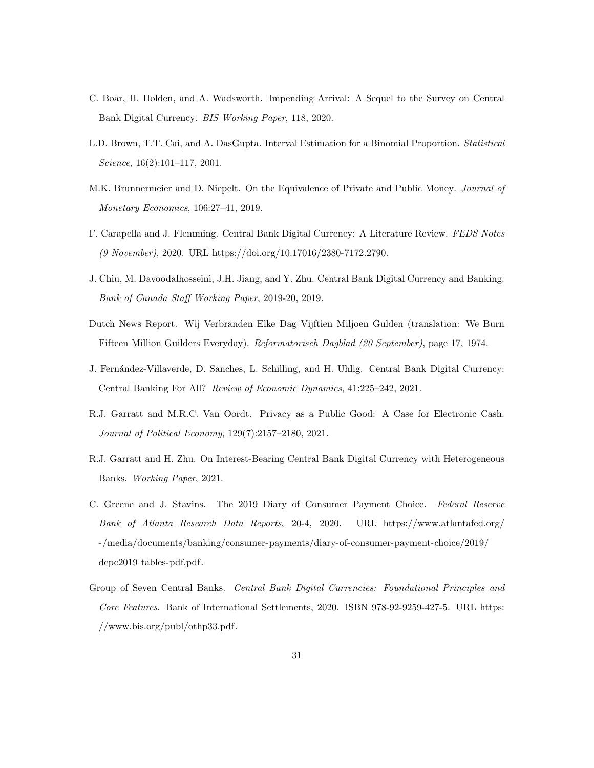- <span id="page-31-0"></span>C. Boar, H. Holden, and A. Wadsworth. Impending Arrival: A Sequel to the Survey on Central Bank Digital Currency. BIS Working Paper, 118, 2020.
- <span id="page-31-10"></span>L.D. Brown, T.T. Cai, and A. DasGupta. Interval Estimation for a Binomial Proportion. Statistical Science, 16(2):101–117, 2001.
- <span id="page-31-3"></span>M.K. Brunnermeier and D. Niepelt. On the Equivalence of Private and Public Money. Journal of Monetary Economics, 106:27–41, 2019.
- <span id="page-31-8"></span>F. Carapella and J. Flemming. Central Bank Digital Currency: A Literature Review. FEDS Notes (9 November), 2020. URL [https://doi.org/10.17016/2380-7172.2790.](https://doi.org/10.17016/2380-7172.2790)
- <span id="page-31-4"></span>J. Chiu, M. Davoodalhosseini, J.H. Jiang, and Y. Zhu. Central Bank Digital Currency and Banking. Bank of Canada Staff Working Paper, 2019-20, 2019.
- <span id="page-31-2"></span>Dutch News Report. Wij Verbranden Elke Dag Vijftien Miljoen Gulden (translation: We Burn Fifteen Million Guilders Everyday). Reformatorisch Dagblad (20 September), page 17, 1974.
- <span id="page-31-5"></span>J. Fern´andez-Villaverde, D. Sanches, L. Schilling, and H. Uhlig. Central Bank Digital Currency: Central Banking For All? Review of Economic Dynamics, 41:225–242, 2021.
- <span id="page-31-6"></span>R.J. Garratt and M.R.C. Van Oordt. Privacy as a Public Good: A Case for Electronic Cash. Journal of Political Economy, 129(7):2157–2180, 2021.
- <span id="page-31-7"></span>R.J. Garratt and H. Zhu. On Interest-Bearing Central Bank Digital Currency with Heterogeneous Banks. Working Paper, 2021.
- <span id="page-31-9"></span>C. Greene and J. Stavins. The 2019 Diary of Consumer Payment Choice. Federal Reserve Bank of Atlanta Research Data Reports, 20-4, 2020. URL [https://www.atlantafed.org/](https://www.atlantafed.org/-/media/documents/banking/consumer-payments/diary-of-consumer-payment-choice/2019/dcpc2019_tables-pdf.pdf) [-/media/documents/banking/consumer-payments/diary-of-consumer-payment-choice/2019/](https://www.atlantafed.org/-/media/documents/banking/consumer-payments/diary-of-consumer-payment-choice/2019/dcpc2019_tables-pdf.pdf) dcpc2019\_[tables-pdf.pdf.](https://www.atlantafed.org/-/media/documents/banking/consumer-payments/diary-of-consumer-payment-choice/2019/dcpc2019_tables-pdf.pdf)
- <span id="page-31-1"></span>Group of Seven Central Banks. Central Bank Digital Currencies: Foundational Principles and Core Features. Bank of International Settlements, 2020. ISBN 978-92-9259-427-5. URL [https:](https://www.bis.org/publ/othp33.pdf) [//www.bis.org/publ/othp33.pdf.](https://www.bis.org/publ/othp33.pdf)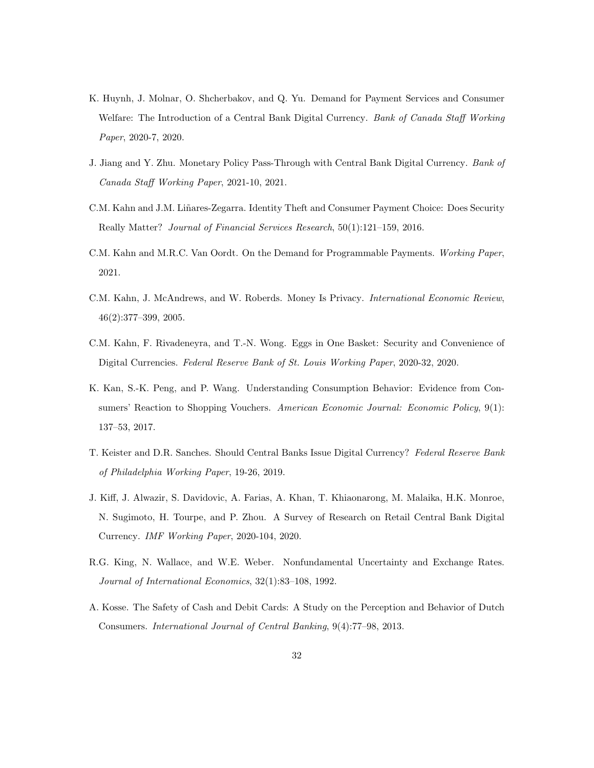- <span id="page-32-5"></span>K. Huynh, J. Molnar, O. Shcherbakov, and Q. Yu. Demand for Payment Services and Consumer Welfare: The Introduction of a Central Bank Digital Currency. Bank of Canada Staff Working Paper, 2020-7, 2020.
- <span id="page-32-4"></span>J. Jiang and Y. Zhu. Monetary Policy Pass-Through with Central Bank Digital Currency. Bank of Canada Staff Working Paper, 2021-10, 2021.
- <span id="page-32-8"></span>C.M. Kahn and J.M. Liñares-Zegarra. Identity Theft and Consumer Payment Choice: Does Security Really Matter? Journal of Financial Services Research, 50(1):121–159, 2016.
- <span id="page-32-3"></span>C.M. Kahn and M.R.C. Van Oordt. On the Demand for Programmable Payments. Working Paper, 2021.
- <span id="page-32-2"></span>C.M. Kahn, J. McAndrews, and W. Roberds. Money Is Privacy. International Economic Review, 46(2):377–399, 2005.
- <span id="page-32-1"></span>C.M. Kahn, F. Rivadeneyra, and T.-N. Wong. Eggs in One Basket: Security and Convenience of Digital Currencies. Federal Reserve Bank of St. Louis Working Paper, 2020-32, 2020.
- <span id="page-32-9"></span>K. Kan, S.-K. Peng, and P. Wang. Understanding Consumption Behavior: Evidence from Consumers' Reaction to Shopping Vouchers. American Economic Journal: Economic Policy, 9(1): 137–53, 2017.
- <span id="page-32-0"></span>T. Keister and D.R. Sanches. Should Central Banks Issue Digital Currency? Federal Reserve Bank of Philadelphia Working Paper, 19-26, 2019.
- <span id="page-32-6"></span>J. Kiff, J. Alwazir, S. Davidovic, A. Farias, A. Khan, T. Khiaonarong, M. Malaika, H.K. Monroe, N. Sugimoto, H. Tourpe, and P. Zhou. A Survey of Research on Retail Central Bank Digital Currency. IMF Working Paper, 2020-104, 2020.
- <span id="page-32-10"></span>R.G. King, N. Wallace, and W.E. Weber. Nonfundamental Uncertainty and Exchange Rates. Journal of International Economics, 32(1):83–108, 1992.
- <span id="page-32-7"></span>A. Kosse. The Safety of Cash and Debit Cards: A Study on the Perception and Behavior of Dutch Consumers. International Journal of Central Banking, 9(4):77–98, 2013.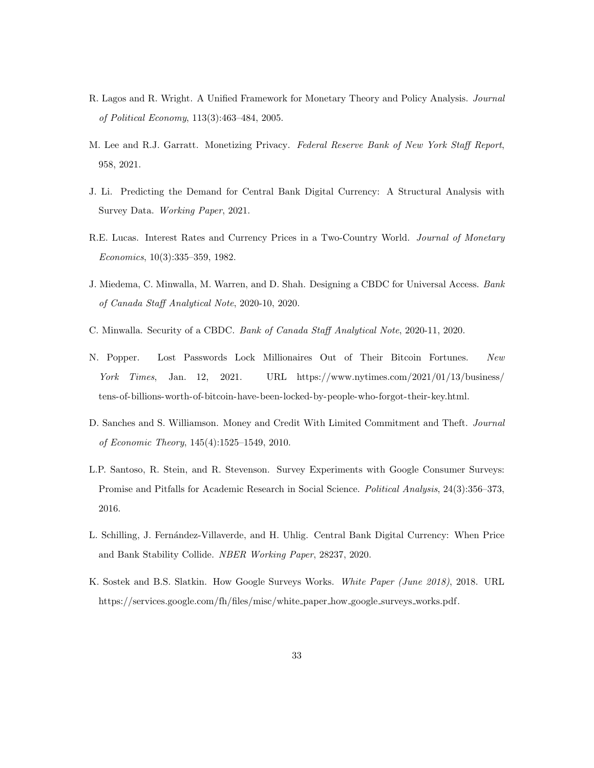- <span id="page-33-3"></span>R. Lagos and R. Wright. A Unified Framework for Monetary Theory and Policy Analysis. Journal of Political Economy, 113(3):463–484, 2005.
- <span id="page-33-5"></span>M. Lee and R.J. Garratt. Monetizing Privacy. Federal Reserve Bank of New York Staff Report, 958, 2021.
- <span id="page-33-6"></span>J. Li. Predicting the Demand for Central Bank Digital Currency: A Structural Analysis with Survey Data. Working Paper, 2021.
- <span id="page-33-8"></span>R.E. Lucas. Interest Rates and Currency Prices in a Two-Country World. Journal of Monetary Economics, 10(3):335–359, 1982.
- <span id="page-33-2"></span>J. Miedema, C. Minwalla, M. Warren, and D. Shah. Designing a CBDC for Universal Access. Bank of Canada Staff Analytical Note, 2020-10, 2020.
- <span id="page-33-1"></span>C. Minwalla. Security of a CBDC. Bank of Canada Staff Analytical Note, 2020-11, 2020.
- <span id="page-33-0"></span>N. Popper. Lost Passwords Lock Millionaires Out of Their Bitcoin Fortunes. New York Times, Jan. 12, 2021. URL [https://www.nytimes.com/2021/01/13/business/](https://www.nytimes.com/2021/01/13/business/tens-of-billions-worth-of-bitcoin-have-been-locked-by-people-who-forgot-their-key.html) [tens-of-billions-worth-of-bitcoin-have-been-locked-by-people-who-forgot-their-key.html.](https://www.nytimes.com/2021/01/13/business/tens-of-billions-worth-of-bitcoin-have-been-locked-by-people-who-forgot-their-key.html)
- <span id="page-33-7"></span>D. Sanches and S. Williamson. Money and Credit With Limited Commitment and Theft. Journal of Economic Theory, 145(4):1525–1549, 2010.
- <span id="page-33-10"></span>L.P. Santoso, R. Stein, and R. Stevenson. Survey Experiments with Google Consumer Surveys: Promise and Pitfalls for Academic Research in Social Science. Political Analysis, 24(3):356–373, 2016.
- <span id="page-33-4"></span>L. Schilling, J. Fernández-Villaverde, and H. Uhlig. Central Bank Digital Currency: When Price and Bank Stability Collide. NBER Working Paper, 28237, 2020.
- <span id="page-33-9"></span>K. Sostek and B.S. Slatkin. How Google Surveys Works. White Paper (June 2018), 2018. URL [https://services.google.com/fh/files/misc/white](https://services.google.com/fh/files/misc/white_paper_how_google_surveys_works.pdf) paper how google surveys works.pdf.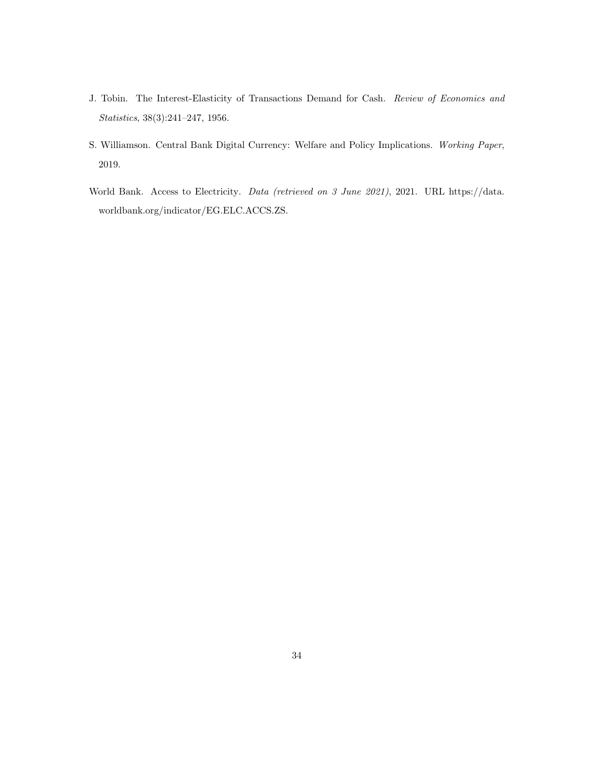- <span id="page-34-1"></span>J. Tobin. The Interest-Elasticity of Transactions Demand for Cash. Review of Economics and Statistics, 38(3):241–247, 1956.
- <span id="page-34-2"></span>S. Williamson. Central Bank Digital Currency: Welfare and Policy Implications. Working Paper, 2019.
- <span id="page-34-0"></span>World Bank. Access to Electricity. Data (retrieved on 3 June 2021), 2021. URL [https://data.](https://data.worldbank.org/indicator/EG.ELC.ACCS.ZS) [worldbank.org/indicator/EG.ELC.ACCS.ZS.](https://data.worldbank.org/indicator/EG.ELC.ACCS.ZS)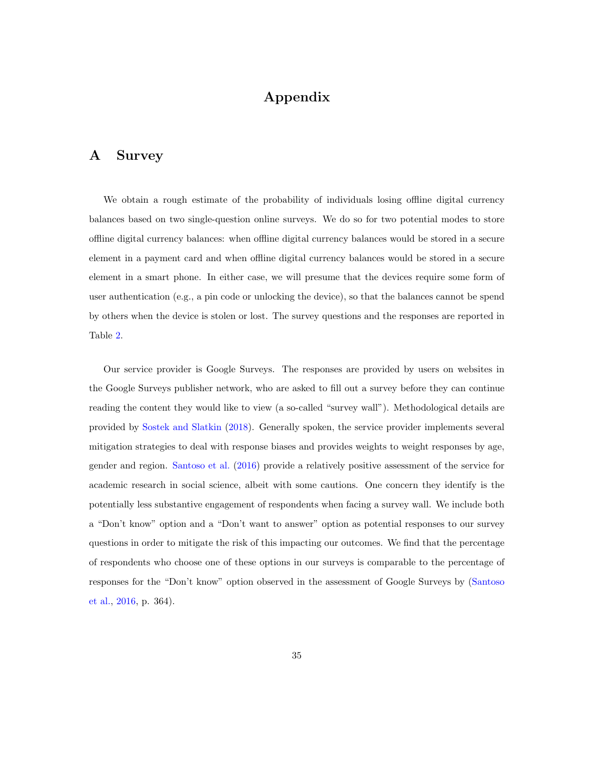# Appendix

#### <span id="page-35-0"></span>A Survey

We obtain a rough estimate of the probability of individuals losing offline digital currency balances based on two single-question online surveys. We do so for two potential modes to store offline digital currency balances: when offline digital currency balances would be stored in a secure element in a payment card and when offline digital currency balances would be stored in a secure element in a smart phone. In either case, we will presume that the devices require some form of user authentication (e.g., a pin code or unlocking the device), so that the balances cannot be spend by others when the device is stolen or lost. The survey questions and the responses are reported in Table [2.](#page-36-0)

Our service provider is Google Surveys. The responses are provided by users on websites in the Google Surveys publisher network, who are asked to fill out a survey before they can continue reading the content they would like to view (a so-called "survey wall"). Methodological details are provided by [Sostek and Slatkin](#page-33-9) [\(2018\)](#page-33-9). Generally spoken, the service provider implements several mitigation strategies to deal with response biases and provides weights to weight responses by age, gender and region. [Santoso et al.](#page-33-10) [\(2016\)](#page-33-10) provide a relatively positive assessment of the service for academic research in social science, albeit with some cautions. One concern they identify is the potentially less substantive engagement of respondents when facing a survey wall. We include both a "Don't know" option and a "Don't want to answer" option as potential responses to our survey questions in order to mitigate the risk of this impacting our outcomes. We find that the percentage of respondents who choose one of these options in our surveys is comparable to the percentage of responses for the "Don't know" option observed in the assessment of Google Surveys by [\(Santoso](#page-33-10) [et al.,](#page-33-10) [2016,](#page-33-10) p. 364).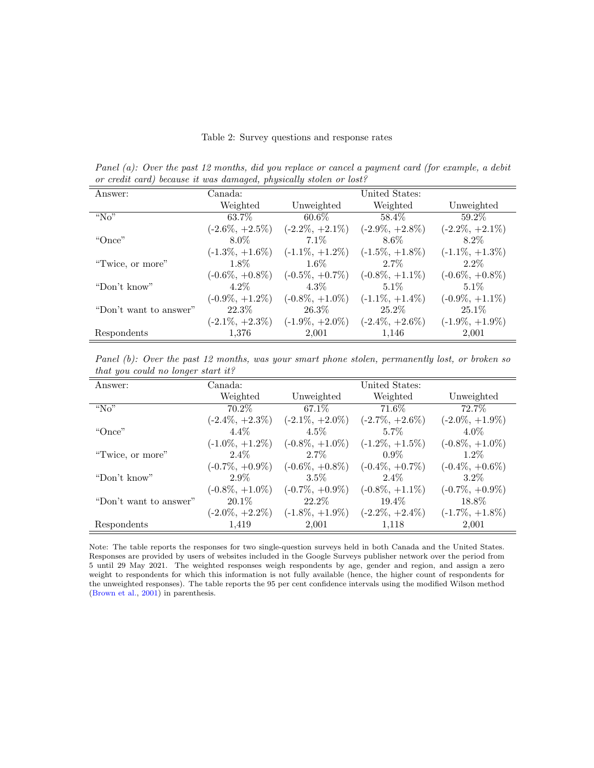#### <span id="page-36-0"></span>Table 2: Survey questions and response rates

Panel (a): Over the past 12 months, did you replace or cancel a payment card (for example, a debit or credit card) because it was damaged, physically stolen or lost?

| Answer:                | Canada:            | United States:                        |                    |                    |
|------------------------|--------------------|---------------------------------------|--------------------|--------------------|
|                        | Weighted           | Unweighted                            | Weighted           | Unweighted         |
| " $No$ "               | 63.7%              | $60.6\%$                              | 58.4\%             | 59.2%              |
|                        | $(-2.6\%, +2.5\%)$ | $(-2.2\%, +2.1\%)$                    | $(-2.9\%, +2.8\%)$ | $(-2.2\%, +2.1\%)$ |
| "Once"                 | 8.0%               | 7.1\%                                 | $8.6\%$            | 8.2\%              |
|                        | $(-1.3\%, +1.6\%)$ | $(-1.1\%, +1.2\%)$                    | $(-1.5\%, +1.8\%)$ | $(-1.1\%, +1.3\%)$ |
| "Twice, or more"       | $1.8\%$            | $1.6\%$                               | $2.7\%$            | $2.2\%$            |
|                        | $(-0.6\%, +0.8\%)$ | $(-0.5\%, +0.7\%)$                    | $(-0.8\%, +1.1\%)$ | $(-0.6\%, +0.8\%)$ |
| "Don't know"           | $4.2\%$            | 4.3\%                                 | $5.1\%$            | $5.1\%$            |
|                        | $(-0.9\%, +1.2\%)$ | $(-0.8\%, +1.0\%)$                    | $(-1.1\%, +1.4\%)$ | $(-0.9\%, +1.1\%)$ |
| "Don't want to answer" | 22.3\%             | $26.3\%$                              | 25.2%              | $25.1\%$           |
|                        | $(-2.1\%, +2.3\%)$ | $(-1.9\%, +2.0\%)$ $(-2.4\%, +2.6\%)$ |                    | $(-1.9\%, +1.9\%)$ |
| Respondents            | 1,376              | 2,001                                 | 1,146              | 2,001              |

Panel (b): Over the past 12 months, was your smart phone stolen, permanently lost, or broken so that you could no longer start it?

| Answer:                | Canada:            |                    | United States:     |                    |
|------------------------|--------------------|--------------------|--------------------|--------------------|
|                        | Weighted           | Unweighted         | Weighted           | Unweighted         |
| " $No$ "               | $70.2\%$           | 67.1\%             | $71.6\%$           | 72.7%              |
|                        | $(-2.4\%, +2.3\%)$ | $(-2.1\%, +2.0\%)$ | $(-2.7\%, +2.6\%)$ | $(-2.0\%, +1.9\%)$ |
| "Once"                 | $4.4\%$            | $4.5\%$            | $5.7\%$            | $4.0\%$            |
|                        | $(-1.0\%, +1.2\%)$ | $(-0.8\%, +1.0\%)$ | $(-1.2\%, +1.5\%)$ | $(-0.8\%, +1.0\%)$ |
| "Twice, or more"       | $2.4\%$            | $2.7\%$            | $0.9\%$            | $1.2\%$            |
|                        | $(-0.7\%, +0.9\%)$ | $(-0.6\%, +0.8\%)$ | $(-0.4\%, +0.7\%)$ | $(-0.4\%, +0.6\%)$ |
| "Don't know"           | $2.9\%$            | $3.5\%$            | $2.4\%$            | $3.2\%$            |
|                        | $(-0.8\%, +1.0\%)$ | $(-0.7\%, +0.9\%)$ | $(-0.8\%, +1.1\%)$ | $(-0.7\%, +0.9\%)$ |
| "Don't want to answer" | $20.1\%$           | $22.2\%$           | 19.4%              | 18.8%              |
|                        | $(-2.0\%, +2.2\%)$ | $(-1.8\%, +1.9\%)$ | $(-2.2\%, +2.4\%)$ | $(-1.7\%, +1.8\%)$ |
| Respondents            | 1.419              | 2,001              | 1.118              | 2,001              |

Note: The table reports the responses for two single-question surveys held in both Canada and the United States. Responses are provided by users of websites included in the Google Surveys publisher network over the period from 5 until 29 May 2021. The weighted responses weigh respondents by age, gender and region, and assign a zero weight to respondents for which this information is not fully available (hence, the higher count of respondents for the unweighted responses). The table reports the 95 per cent confidence intervals using the modified Wilson method [\(Brown et al.,](#page-31-10) [2001\)](#page-31-10) in parenthesis.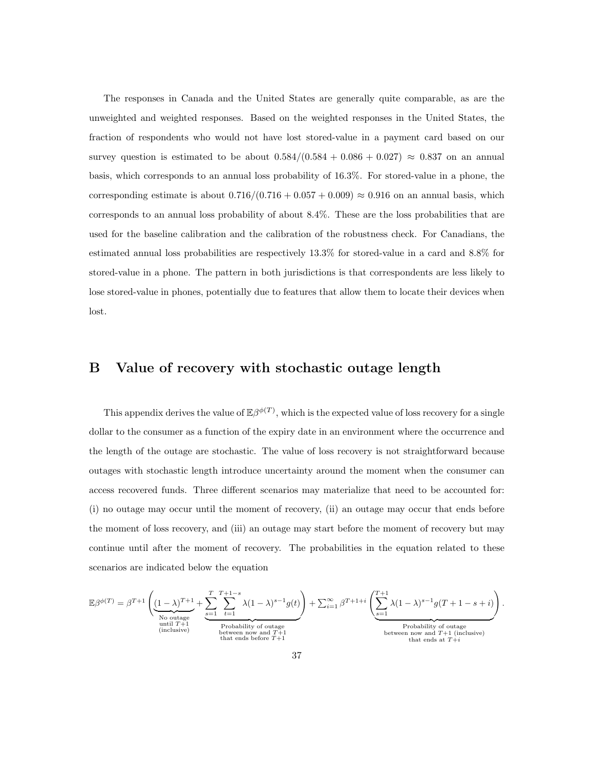The responses in Canada and the United States are generally quite comparable, as are the unweighted and weighted responses. Based on the weighted responses in the United States, the fraction of respondents who would not have lost stored-value in a payment card based on our survey question is estimated to be about  $0.584/(0.584 + 0.086 + 0.027) \approx 0.837$  on an annual basis, which corresponds to an annual loss probability of 16.3%. For stored-value in a phone, the corresponding estimate is about  $0.716/(0.716 + 0.057 + 0.009) \approx 0.916$  on an annual basis, which corresponds to an annual loss probability of about 8.4%. These are the loss probabilities that are used for the baseline calibration and the calibration of the robustness check. For Canadians, the estimated annual loss probabilities are respectively 13.3% for stored-value in a card and 8.8% for stored-value in a phone. The pattern in both jurisdictions is that correspondents are less likely to lose stored-value in phones, potentially due to features that allow them to locate their devices when lost.

#### <span id="page-37-0"></span>B Value of recovery with stochastic outage length

This appendix derives the value of  $\mathbb{E}\beta^{\phi(T)}$ , which is the expected value of loss recovery for a single dollar to the consumer as a function of the expiry date in an environment where the occurrence and the length of the outage are stochastic. The value of loss recovery is not straightforward because outages with stochastic length introduce uncertainty around the moment when the consumer can access recovered funds. Three different scenarios may materialize that need to be accounted for: (i) no outage may occur until the moment of recovery, (ii) an outage may occur that ends before the moment of loss recovery, and (iii) an outage may start before the moment of recovery but may continue until after the moment of recovery. The probabilities in the equation related to these scenarios are indicated below the equation

$$
\mathbb{E}\beta^{\phi(T)} = \beta^{T+1} \left( \underbrace{(1-\lambda)^{T+1}}_{\substack{N\text{o outage} \text{ until } T+1}} + \underbrace{\sum_{s=1}^{T} \sum_{t=1}^{T+1-s} \lambda (1-\lambda)^{s-1} g(t)}_{\substack{\text{Probability of outage} \text{ between now and } T+1}} + \sum_{s=1}^{\infty} \beta^{T+1+i} \left( \underbrace{\sum_{s=1}^{T+1} \lambda (1-\lambda)^{s-1} g(T+1-s+i)}_{\substack{\text{Probability of outage} \text{ between now and } T+1}} \right).
$$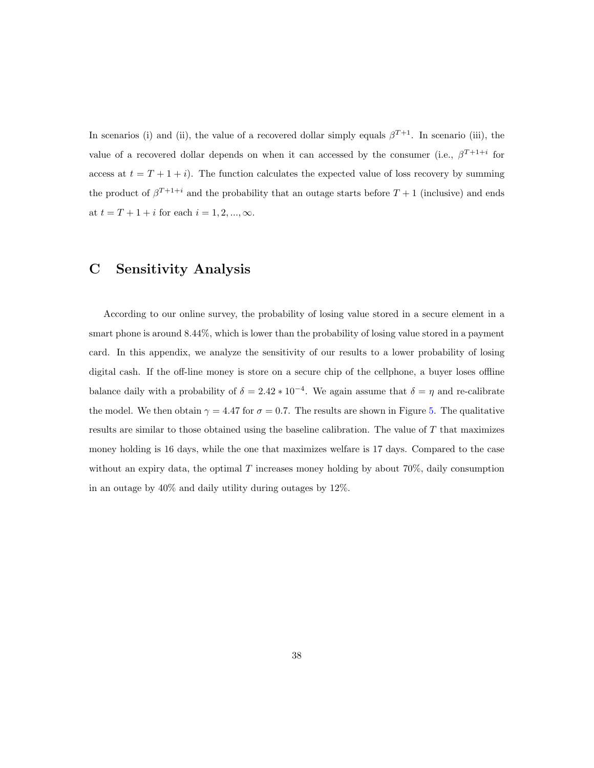In scenarios (i) and (ii), the value of a recovered dollar simply equals  $\beta^{T+1}$ . In scenario (iii), the value of a recovered dollar depends on when it can accessed by the consumer (i.e.,  $\beta^{T+1+i}$  for access at  $t = T + 1 + i$ . The function calculates the expected value of loss recovery by summing the product of  $\beta^{T+1+i}$  and the probability that an outage starts before  $T+1$  (inclusive) and ends at  $t = T + 1 + i$  for each  $i = 1, 2, ..., \infty$ .

### <span id="page-38-0"></span>C Sensitivity Analysis

According to our online survey, the probability of losing value stored in a secure element in a smart phone is around 8.44%, which is lower than the probability of losing value stored in a payment card. In this appendix, we analyze the sensitivity of our results to a lower probability of losing digital cash. If the off-line money is store on a secure chip of the cellphone, a buyer loses offline balance daily with a probability of  $\delta = 2.42 * 10^{-4}$ . We again assume that  $\delta = \eta$  and re-calibrate the model. We then obtain  $\gamma = 4.47$  for  $\sigma = 0.7$ . The results are shown in Figure [5.](#page-39-0) The qualitative results are similar to those obtained using the baseline calibration. The value of T that maximizes money holding is 16 days, while the one that maximizes welfare is 17 days. Compared to the case without an expiry data, the optimal T increases money holding by about 70%, daily consumption in an outage by 40% and daily utility during outages by 12%.